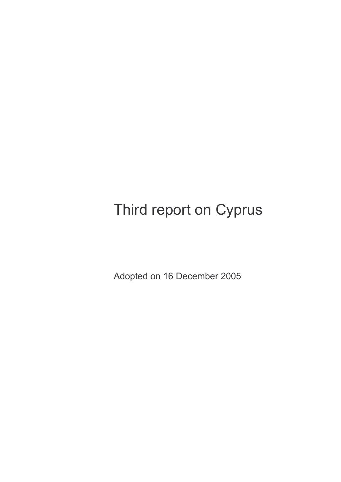# Third report on Cyprus

Adopted on 16 December 2005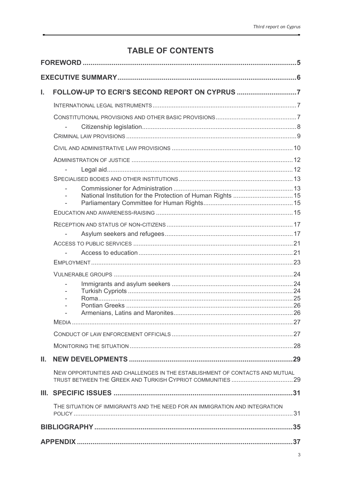# **TABLE OF CONTENTS**

| L. |                                                                              |  |
|----|------------------------------------------------------------------------------|--|
|    |                                                                              |  |
|    |                                                                              |  |
|    |                                                                              |  |
|    |                                                                              |  |
|    |                                                                              |  |
|    |                                                                              |  |
|    | $\overline{\phantom{a}}$                                                     |  |
|    |                                                                              |  |
|    |                                                                              |  |
|    |                                                                              |  |
|    |                                                                              |  |
|    |                                                                              |  |
|    |                                                                              |  |
|    |                                                                              |  |
|    |                                                                              |  |
|    |                                                                              |  |
|    |                                                                              |  |
|    |                                                                              |  |
|    |                                                                              |  |
|    |                                                                              |  |
|    |                                                                              |  |
|    |                                                                              |  |
|    |                                                                              |  |
| Ш. |                                                                              |  |
|    | NEW OPPORTUNITIES AND CHALLENGES IN THE ESTABLISHMENT OF CONTACTS AND MUTUAL |  |
|    |                                                                              |  |
|    | THE SITUATION OF IMMIGRANTS AND THE NEED FOR AN IMMIGRATION AND INTEGRATION  |  |
|    |                                                                              |  |
|    |                                                                              |  |
|    |                                                                              |  |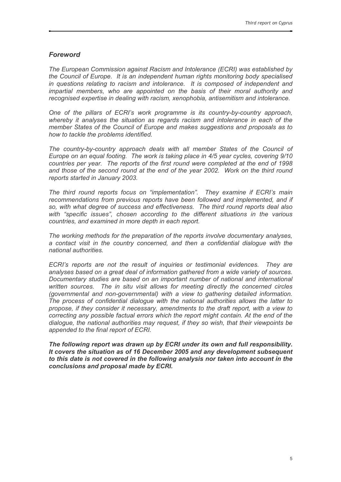# **Foreword**

The European Commission against Racism and Intolerance (ECRI) was established by the Council of Europe. It is an independent human rights monitoring body specialised in questions relating to racism and intolerance. It is composed of independent and impartial members, who are appointed on the basis of their moral authority and recognised expertise in dealing with racism, xenophobia, antisemitism and intolerance.

One of the pillars of ECRI's work programme is its country-by-country approach, whereby it analyses the situation as regards racism and intolerance in each of the member States of the Council of Europe and makes suggestions and proposals as to how to tackle the problems identified.

The country-by-country approach deals with all member States of the Council of Europe on an equal footing. The work is taking place in 4/5 year cycles, covering 9/10 countries per year. The reports of the first round were completed at the end of 1998 and those of the second round at the end of the year 2002. Work on the third round reports started in January 2003.

The third round reports focus on "implementation". They examine if ECRI's main recommendations from previous reports have been followed and implemented, and if so, with what degree of success and effectiveness. The third round reports deal also with "specific issues", chosen according to the different situations in the various countries, and examined in more depth in each report.

The working methods for the preparation of the reports involve documentary analyses. a contact visit in the country concerned, and then a confidential dialogue with the national authorities.

ECRI's reports are not the result of inquiries or testimonial evidences. They are analyses based on a great deal of information gathered from a wide variety of sources. Documentary studies are based on an important number of national and international written sources. The in situ visit allows for meeting directly the concerned circles (governmental and non-governmental) with a view to gathering detailed information. The process of confidential dialogue with the national authorities allows the latter to propose, if they consider it necessary, amendments to the draft report, with a view to correcting any possible factual errors which the report might contain. At the end of the dialoque, the national authorities may request, if they so wish, that their viewpoints be appended to the final report of ECRI.

The following report was drawn up by ECRI under its own and full responsibility. It covers the situation as of 16 December 2005 and any development subsequent to this date is not covered in the following analysis nor taken into account in the conclusions and proposal made by ECRI.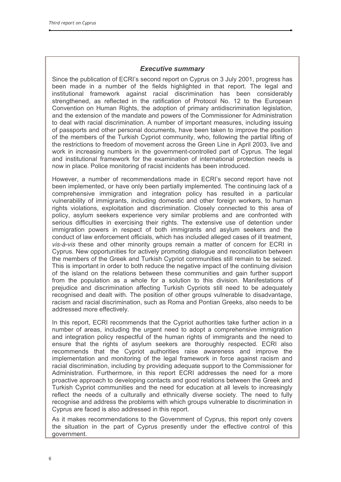# **Executive summary**

Since the publication of ECRI's second report on Cyprus on 3 July 2001, progress has been made in a number of the fields highlighted in that report. The legal and institutional framework against racial discrimination has been considerably strengthened, as reflected in the ratification of Protocol No. 12 to the European Convention on Human Rights, the adoption of primary antidiscrimination legislation, and the extension of the mandate and powers of the Commissioner for Administration to deal with racial discrimination. A number of important measures, including issuing of passports and other personal documents, have been taken to improve the position of the members of the Turkish Cypriot community, who, following the partial lifting of the restrictions to freedom of movement across the Green Line in April 2003, live and work in increasing numbers in the government-controlled part of Cyprus. The legal and institutional framework for the examination of international protection needs is now in place. Police monitoring of racist incidents has been introduced.

However, a number of recommendations made in ECRI's second report have not been implemented, or have only been partially implemented. The continuing lack of a comprehensive immigration and integration policy has resulted in a particular vulnerability of immigrants, including domestic and other foreign workers, to human rights violations, exploitation and discrimination. Closely connected to this area of policy, asylum seekers experience very similar problems and are confronted with serious difficulties in exercising their rights. The extensive use of detention under immigration powers in respect of both immigrants and asylum seekers and the conduct of law enforcement officials, which has included alleged cases of ill treatment, vis-à-vis these and other minority groups remain a matter of concern for ECRI in Cyprus. New opportunities for actively promoting dialogue and reconciliation between the members of the Greek and Turkish Cypriot communities still remain to be seized. This is important in order to both reduce the negative impact of the continuing division of the island on the relations between these communities and gain further support from the population as a whole for a solution to this division. Manifestations of prejudice and discrimination affecting Turkish Cypriots still need to be adequately recognised and dealt with. The position of other groups vulnerable to disadvantage, racism and racial discrimination, such as Roma and Pontian Greeks, also needs to be addressed more effectively.

In this report, ECRI recommends that the Cypriot authorities take further action in a number of areas, including the urgent need to adopt a comprehensive immigration and integration policy respectful of the human rights of immigrants and the need to ensure that the rights of asylum seekers are thoroughly respected. ECRI also recommends that the Cypriot authorities raise awareness and improve the implementation and monitoring of the legal framework in force against racism and racial discrimination, including by providing adequate support to the Commissioner for Administration. Furthermore, in this report ECRI addresses the need for a more proactive approach to developing contacts and good relations between the Greek and Turkish Cypriot communities and the need for education at all levels to increasingly reflect the needs of a culturally and ethnically diverse society. The need to fully recognise and address the problems with which groups vulnerable to discrimination in Cyprus are faced is also addressed in this report.

As it makes recommendations to the Government of Cyprus, this report only covers the situation in the part of Cyprus presently under the effective control of this government.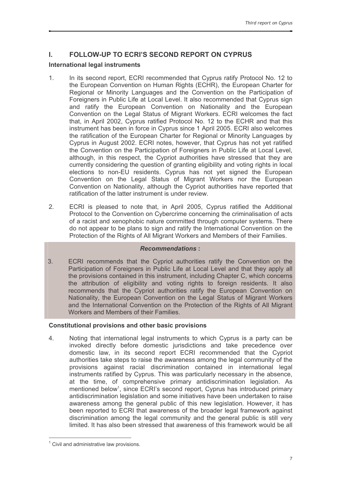#### **FOLLOW-UP TO ECRI'S SECOND REPORT ON CYPRUS** L.

# **International legal instruments**

- In its second report, ECRI recommended that Cyprus ratify Protocol No. 12 to  $1.$ the European Convention on Human Rights (ECHR), the European Charter for Regional or Minority Languages and the Convention on the Participation of Foreigners in Public Life at Local Level. It also recommended that Cyprus sign and ratify the European Convention on Nationality and the European Convention on the Legal Status of Migrant Workers. ECRI welcomes the fact that, in April 2002, Cyprus ratified Protocol No. 12 to the ECHR and that this instrument has been in force in Cyprus since 1 April 2005. ECRI also welcomes the ratification of the European Charter for Regional or Minority Languages by Cyprus in August 2002. ECRI notes, however, that Cyprus has not yet ratified the Convention on the Participation of Foreigners in Public Life at Local Level. although, in this respect, the Cypriot authorities have stressed that they are currently considering the question of granting eligibility and voting rights in local elections to non-EU residents. Cyprus has not yet signed the European Convention on the Legal Status of Migrant Workers nor the European Convention on Nationality, although the Cypriot authorities have reported that ratification of the latter instrument is under review.
- $2.$ ECRI is pleased to note that, in April 2005, Cyprus ratified the Additional Protocol to the Convention on Cybercrime concerning the criminalisation of acts of a racist and xenophobic nature committed through computer systems. There do not appear to be plans to sign and ratify the International Convention on the Protection of the Rights of All Migrant Workers and Members of their Families.

# **Recommendations:**

3. ECRI recommends that the Cypriot authorities ratify the Convention on the Participation of Foreigners in Public Life at Local Level and that they apply all the provisions contained in this instrument, including Chapter C, which concerns the attribution of eligibility and voting rights to foreign residents. It also recommends that the Cypriot authorities ratify the European Convention on Nationality, the European Convention on the Legal Status of Migrant Workers and the International Convention on the Protection of the Rights of All Migrant Workers and Members of their Families.

# Constitutional provisions and other basic provisions

 $4.$ Noting that international legal instruments to which Cyprus is a party can be invoked directly before domestic jurisdictions and take precedence over domestic law, in its second report ECRI recommended that the Cypriot authorities take steps to raise the awareness among the legal community of the provisions against racial discrimination contained in international legal instruments ratified by Cyprus. This was particularly necessary in the absence. at the time, of comprehensive primary antidiscrimination legislation. As mentioned below<sup>1</sup>, since ECRI's second report, Cyprus has introduced primary antidiscrimination legislation and some initiatives have been undertaken to raise awareness among the general public of this new legislation. However, it has been reported to ECRI that awareness of the broader legal framework against discrimination among the legal community and the general public is still very limited. It has also been stressed that awareness of this framework would be all

 $1$  Civil and administrative law provisions.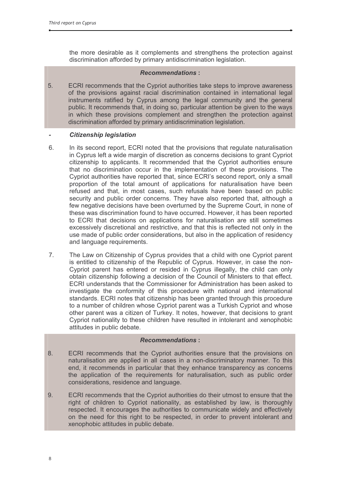the more desirable as it complements and strengthens the protection against discrimination afforded by primary antidiscrimination legislation.

# **Recommendations:**

 $5<sub>1</sub>$ ECRI recommends that the Cypriot authorities take steps to improve awareness of the provisions against racial discrimination contained in international legal instruments ratified by Cyprus among the legal community and the general public. It recommends that, in doing so, particular attention be given to the ways in which these provisions complement and strengthen the protection against discrimination afforded by primary antidiscrimination legislation.

# **Citizenship legislation**

- $6.$ In its second report. ECRI noted that the provisions that regulate naturalisation in Cyprus left a wide margin of discretion as concerns decisions to grant Cypriot citizenship to applicants. It recommended that the Cypriot authorities ensure that no discrimination occur in the implementation of these provisions. The Cypriot authorities have reported that, since ECRI's second report, only a small proportion of the total amount of applications for naturalisation have been refused and that, in most cases, such refusals have been based on public security and public order concerns. They have also reported that, although a few negative decisions have been overturned by the Supreme Court, in none of these was discrimination found to have occurred. However, it has been reported to ECRI that decisions on applications for naturalisation are still sometimes excessively discretional and restrictive, and that this is reflected not only in the use made of public order considerations, but also in the application of residency and language requirements.
- $\overline{7}$ . The Law on Citizenship of Cyprus provides that a child with one Cypriot parent is entitled to citizenship of the Republic of Cyprus. However, in case the non-Cypriot parent has entered or resided in Cyprus illegally, the child can only obtain citizenship following a decision of the Council of Ministers to that effect. ECRI understands that the Commissioner for Administration has been asked to investigate the conformity of this procedure with national and international standards. ECRI notes that citizenship has been granted through this procedure to a number of children whose Cypriot parent was a Turkish Cypriot and whose other parent was a citizen of Turkey. It notes, however, that decisions to grant Cypriot nationality to these children have resulted in intolerant and xenophobic attitudes in public debate.

- 8. ECRI recommends that the Cypriot authorities ensure that the provisions on naturalisation are applied in all cases in a non-discriminatory manner. To this end, it recommends in particular that they enhance transparency as concerns the application of the requirements for naturalisation, such as public order considerations, residence and language.
- ECRI recommends that the Cypriot authorities do their utmost to ensure that the 9. right of children to Cypriot nationality, as established by law, is thoroughly respected. It encourages the authorities to communicate widely and effectively on the need for this right to be respected, in order to prevent intolerant and xenophobic attitudes in public debate.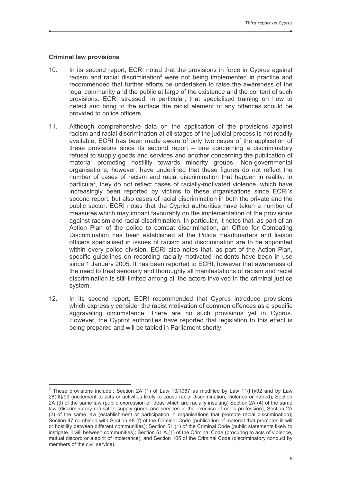# **Criminal law provisions**

- $10.$ In its second report, ECRI noted that the provisions in force in Cyprus against racism and racial discrimination<sup>2</sup> were not being implemented in practice and recommended that further efforts be undertaken to raise the awareness of the legal community and the public at large of the existence and the content of such provisions. ECRI stressed, in particular, that specialised training on how to detect and bring to the surface the racist element of any offences should be provided to police officers.
- $11.$ Although comprehensive data on the application of the provisions against racism and racial discrimination at all stages of the judicial process is not readily available, ECRI has been made aware of only two cases of the application of these provisions since its second report  $-$  one concerning a discriminatory refusal to supply goods and services and another concerning the publication of material promoting hostility towards minority groups. Non-governmental organisations, however, have underlined that these figures do not reflect the number of cases of racism and racial discrimination that happen in reality. In particular, they do not reflect cases of racially-motivated violence, which have increasingly been reported by victims to these organisations since ECRI's second report, but also cases of racial discrimination in both the private and the public sector. ECRI notes that the Cypriot authorities have taken a number of measures which may impact favourably on the implementation of the provisions against racism and racial discrimination. In particular, it notes that, as part of an Action Plan of the police to combat discrimination, an Office for Combating Discrimination has been established at the Police Headquarters and liaison officers specialised in issues of racism and discrimination are to be appointed within every police division. ECRI also notes that, as part of the Action Plan, specific quidelines on recording racially-motivated incidents have been in use since 1 January 2005. It has been reported to ECRI, however that awareness of the need to treat seriously and thoroughly all manifestations of racism and racial discrimination is still limited among all the actors involved in the criminal justice system.
- $12<sup>7</sup>$ In its second report, ECRI recommended that Cyprus introduce provisions which expressly consider the racist motivation of common offences as a specific aggravating circumstance. There are no such provisions yet in Cyprus. However, the Cypriot authorities have reported that legislation to this effect is being prepared and will be tabled in Parliament shortly.

 $2$  These provisions include : Section 2A (1) of Law 13/1967 as modified by Law 11(III)/92 and by Law 28(III)/99 (incitement to acts or activities likely to cause racial discrimination, violence or hatred); Section 2A (3) of the same law (public expression of ideas which are racially insulting) Section 2A (4) of the same law (discriminatory refusal to supply goods and services in the exercise of one's profession); Section 2A (2) of the same law (establishment or participation in organisations that promote racial discrimination); Section 47 combined with Section 48 (f) of the Criminal Code (publication of material that promotes ill will or hostility between different communities); Section 51 (1) of the Criminal Code (public statements likely to instigate ill will between communities); Section 51 A (1) of the Criminal Code (procuring to acts of violence, mutual discord or a spirit of intolerance); and Section 105 of the Criminal Code (discriminatory conduct by members of the civil service).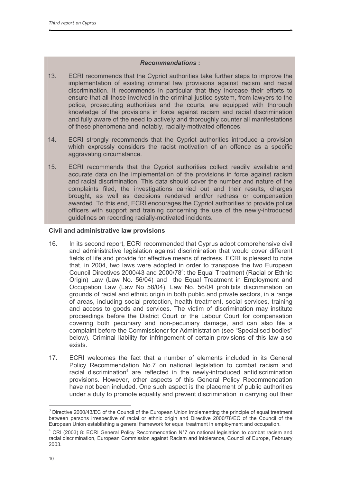# **Recommendations:**

- ECRI recommends that the Cypriot authorities take further steps to improve the  $13.$ implementation of existing criminal law provisions against racism and racial discrimination. It recommends in particular that they increase their efforts to ensure that all those involved in the criminal justice system, from lawyers to the police, prosecuting authorities and the courts, are equipped with thorough knowledge of the provisions in force against racism and racial discrimination and fully aware of the need to actively and thoroughly counter all manifestations of these phenomena and, notably, racially-motivated offences.
- ECRI strongly recommends that the Cypriot authorities introduce a provision  $14.$ which expressly considers the racist motivation of an offence as a specific aggravating circumstance.
- $15.$ ECRI recommends that the Cypriot authorities collect readily available and accurate data on the implementation of the provisions in force against racism and racial discrimination. This data should cover the number and nature of the complaints filed, the investigations carried out and their results, charges brought, as well as decisions rendered and/or redress or compensation awarded. To this end, ECRI encourages the Cypriot authorities to provide police officers with support and training concerning the use of the newly-introduced quidelines on recording racially-motivated incidents.

# Civil and administrative law provisions

- $16.$ In its second report, ECRI recommended that Cyprus adopt comprehensive civil and administrative legislation against discrimination that would cover different fields of life and provide for effective means of redress. ECRI is pleased to note that, in 2004, two laws were adopted in order to transpose the two European Council Directives 2000/43 and 2000/78<sup>3</sup>: the Equal Treatment (Racial or Ethnic Origin) Law (Law No. 56/04) and the Equal Treatment in Employment and Occupation Law (Law No 58/04). Law No. 56/04 prohibits discrimination on grounds of racial and ethnic origin in both public and private sectors, in a range of areas, including social protection, health treatment, social services, training and access to goods and services. The victim of discrimination may institute proceedings before the District Court or the Labour Court for compensation covering both pecuniary and non-pecuniary damage, and can also file a complaint before the Commissioner for Administration (see "Specialised bodies" below). Criminal liability for infringement of certain provisions of this law also exists.
- $17.$ ECRI welcomes the fact that a number of elements included in its General Policy Recommendation No.7 on national legislation to combat racism and racial discrimination<sup>4</sup> are reflected in the newly-introduced antidiscrimination provisions. However, other aspects of this General Policy Recommendation have not been included. One such aspect is the placement of public authorities under a duty to promote equality and prevent discrimination in carrying out their

<sup>&</sup>lt;sup>3</sup> Directive 2000/43/EC of the Council of the European Union implementing the principle of equal treatment between persons irrespective of racial or ethnic origin and Directive 2000/78/EC of the Council of the European Union establishing a general framework for equal treatment in employment and occupation.

<sup>&</sup>lt;sup>4</sup> CRI (2003) 8: ECRI General Policy Recommendation N°7 on national legislation to combat racism and racial discrimination, European Commission against Racism and Intolerance, Council of Europe, February 2003.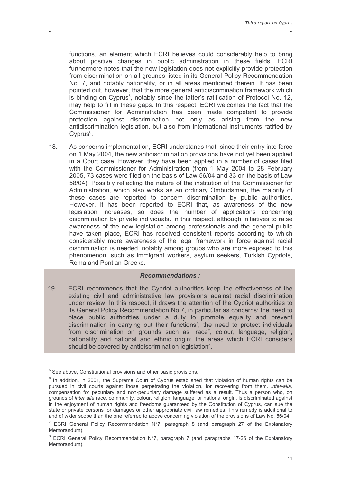functions, an element which ECRI believes could considerably help to bring about positive changes in public administration in these fields. ECRI furthermore notes that the new legislation does not explicitly provide protection from discrimination on all grounds listed in its General Policy Recommendation No. 7, and notably nationality, or in all areas mentioned therein. It has been pointed out, however, that the more general antidiscrimination framework which is binding on Cyprus<sup>5</sup>, notably since the latter's ratification of Protocol No. 12. may help to fill in these gaps. In this respect. ECRI welcomes the fact that the Commissioner for Administration has been made competent to provide protection against discrimination not only as arising from the new antidiscrimination legislation, but also from international instruments ratified by Cyprus<sup>6</sup>.

 $18.$ As concerns implementation, ECRI understands that, since their entry into force on 1 May 2004, the new antidiscrimination provisions have not yet been applied in a Court case. However, they have been applied in a number of cases filed with the Commissioner for Administration (from 1 May 2004 to 28 February 2005, 73 cases were filed on the basis of Law 56/04 and 33 on the basis of Law 58/04). Possibly reflecting the nature of the institution of the Commissioner for Administration, which also works as an ordinary Ombudsman, the majority of these cases are reported to concern discrimination by public authorities. However, it has been reported to ECRI that, as awareness of the new legislation increases, so does the number of applications concerning discrimination by private individuals. In this respect, although initiatives to raise awareness of the new legislation among professionals and the general public have taken place, ECRI has received consistent reports according to which considerably more awareness of the legal framework in force against racial discrimination is needed, notably among groups who are more exposed to this phenomenon, such as immigrant workers, asylum seekers, Turkish Cypriots, Roma and Pontian Greeks

#### **Recommendations:**

ECRI recommends that the Cypriot authorities keep the effectiveness of the 19. existing civil and administrative law provisions against racial discrimination under review. In this respect, it draws the attention of the Cypriot authorities to its General Policy Recommendation No.7, in particular as concerns: the need to place public authorities under a duty to promote equality and prevent<br>discrimination in carrying out their functions<sup>7</sup>; the need to protect individuals from discrimination on grounds such as "race", colour, language, religion, nationality and national and ethnic origin; the areas which ECRI considers should be covered by antidiscrimination legislation<sup>8</sup>.

 $5$  See above, Constitutional provisions and other basic provisions.

 $6$  In addition, in 2001, the Supreme Court of Cyprus established that violation of human rights can be pursued in civil courts against those perpetrating the violation, for recovering from them, inter-alia, compensation for pecuniary and non-pecuniary damage suffered as a result. Thus a person who, on grounds of inter alia race, community, colour, religion, language or national origin, is discriminated against in the enjoyment of human rights and freedoms guaranteed by the Constitution of Cyprus, can sue the state or private persons for damages or other appropriate civil law remedies. This remedy is additional to and of wider scope than the one referred to above concerning violation of the provisions of Law No. 56/04.

 $7$  ECRI General Policy Recommendation N°7, paragraph 8 (and paragraph 27 of the Explanatory Memorandum).

<sup>&</sup>lt;sup>8</sup> ECRI General Policy Recommendation N°7, paragraph 7 (and paragraphs 17-26 of the Explanatory Memorandum).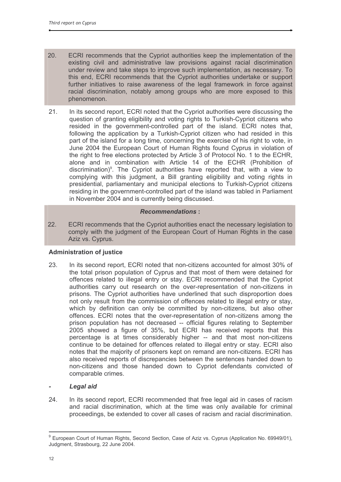- $20.$ ECRI recommends that the Cypriot authorities keep the implementation of the existing civil and administrative law provisions against racial discrimination under review and take steps to improve such implementation, as necessary. To this end, ECRI recommends that the Cypriot authorities undertake or support further initiatives to raise awareness of the legal framework in force against racial discrimination, notably among groups who are more exposed to this phenomenon.
- 21. In its second report, ECRI noted that the Cypriot authorities were discussing the question of granting eligibility and voting rights to Turkish-Cypriot citizens who resided in the government-controlled part of the island. ECRI notes that, following the application by a Turkish-Cypriot citizen who had resided in this part of the island for a long time, concerning the exercise of his right to vote, in June 2004 the European Court of Human Rights found Cyprus in violation of the right to free elections protected by Article 3 of Protocol No. 1 to the ECHR, alone and in combination with Article 14 of the ECHR (Prohibition of discrimination)<sup>9</sup>. The Cypriot authorities have reported that, with a view to complying with this judgment, a Bill granting eligibility and voting rights in presidential, parliamentary and municipal elections to Turkish-Cypriot citizens residing in the government-controlled part of the island was tabled in Parliament in November 2004 and is currently being discussed.

# **Recommendations:**

22. ECRI recommends that the Cypriot authorities enact the necessary legislation to comply with the judgment of the European Court of Human Rights in the case Aziz vs. Cyprus.

# **Administration of justice**

23. In its second report, ECRI noted that non-citizens accounted for almost 30% of the total prison population of Cyprus and that most of them were detained for offences related to illegal entry or stay. ECRI recommended that the Cypriot authorities carry out research on the over-representation of non-citizens in prisons. The Cypriot authorities have underlined that such disproportion does not only result from the commission of offences related to illegal entry or stay. which by definition can only be committed by non-citizens, but also other offences. ECRI notes that the over-representation of non-citizens among the prison population has not decreased -- official figures relating to September 2005 showed a figure of 35%, but ECRI has received reports that this percentage is at times considerably higher -- and that most non-citizens continue to be detained for offences related to illegal entry or stay. ECRI also notes that the majority of prisoners kept on remand are non-citizens. ECRI has also received reports of discrepancies between the sentences handed down to non-citizens and those handed down to Cypriot defendants convicted of comparable crimes.

# **Legal aid**

24. In its second report, ECRI recommended that free legal aid in cases of racism and racial discrimination, which at the time was only available for criminal proceedings, be extended to cover all cases of racism and racial discrimination.

<sup>&</sup>lt;sup>9</sup> European Court of Human Rights, Second Section, Case of Aziz vs. Cyprus (Application No. 69949/01), Judgment, Strasbourg, 22 June 2004.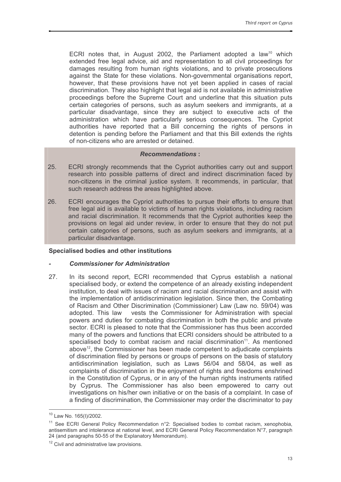ECRI notes that, in August 2002, the Parliament adopted a law<sup>10</sup> which extended free legal advice, aid and representation to all civil proceedings for damages resulting from human rights violations, and to private prosecutions against the State for these violations. Non-governmental organisations report, however, that these provisions have not yet been applied in cases of racial discrimination. They also highlight that legal aid is not available in administrative proceedings before the Supreme Court and underline that this situation puts certain categories of persons, such as asylum seekers and immigrants, at a particular disadvantage, since they are subject to executive acts of the administration which have particularly serious consequences. The Cypriot authorities have reported that a Bill concerning the rights of persons in detention is pending before the Parliament and that this Bill extends the rights of non-citizens who are arrested or detained.

#### **Recommendations:**

- 25. ECRI strongly recommends that the Cypriot authorities carry out and support research into possible patterns of direct and indirect discrimination faced by non-citizens in the criminal justice system. It recommends, in particular, that such research address the areas highlighted above.
- 26. ECRI encourages the Cypriot authorities to pursue their efforts to ensure that free legal aid is available to victims of human rights violations, including racism and racial discrimination. It recommends that the Cypriot authorities keep the provisions on legal aid under review, in order to ensure that they do not put certain categories of persons, such as asylum seekers and immigrants, at a particular disadvantage.

#### Specialised bodies and other institutions

#### **Commissioner for Administration**

27. In its second report, ECRI recommended that Cyprus establish a national specialised body, or extend the competence of an already existing independent institution, to deal with issues of racism and racial discrimination and assist with the implementation of antidiscrimination legislation. Since then, the Combating of Racism and Other Discrimination (Commissioner) Law (Law no. 59/04) was adopted. This law vests the Commissioner for Administration with special powers and duties for combating discrimination in both the public and private sector. ECRI is pleased to note that the Commissioner has thus been accorded many of the powers and functions that ECRI considers should be attributed to a specialised body to combat racism and racial discrimination<sup>11</sup>. As mentioned above<sup>12</sup>, the Commissioner has been made competent to adjudicate complaints of discrimination filed by persons or groups of persons on the basis of statutory antidiscrimination legislation, such as Laws 56/04 and 58/04, as well as complaints of discrimination in the enjoyment of rights and freedoms enshrined in the Constitution of Cyprus, or in any of the human rights instruments ratified by Cyprus. The Commissioner has also been empowered to carry out investigations on his/her own initiative or on the basis of a complaint. In case of a finding of discrimination, the Commissioner may order the discriminator to pay

<sup>&</sup>lt;sup>10</sup> Law No. 165(I)/2002.

<sup>&</sup>lt;sup>11</sup> See ECRI General Policy Recommendation n°2: Specialised bodies to combat racism, xenophobia, antisemitism and intolerance at national level, and ECRI General Policy Recommendation N°7, paragraph 24 (and paragraphs 50-55 of the Explanatory Memorandum).

<sup>&</sup>lt;sup>12</sup> Civil and administrative law provisions.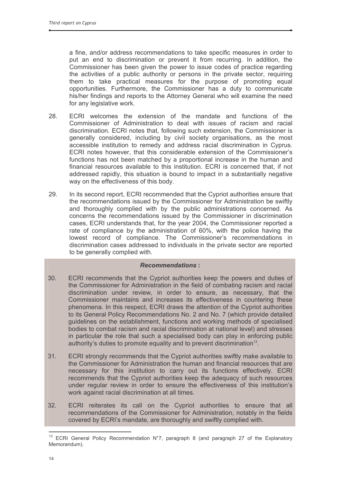a fine, and/or address recommendations to take specific measures in order to put an end to discrimination or prevent it from recurring. In addition, the Commissioner has been given the power to issue codes of practice regarding the activities of a public authority or persons in the private sector, requiring them to take practical measures for the purpose of promoting equal opportunities. Furthermore, the Commissioner has a duty to communicate his/her findings and reports to the Attorney General who will examine the need for any legislative work.

- 28 ECRI welcomes the extension of the mandate and functions of the Commissioner of Administration to deal with issues of racism and racial discrimination. ECRI notes that, following such extension, the Commissioner is generally considered, including by civil society organisations, as the most accessible institution to remedy and address racial discrimination in Cyprus. ECRI notes however, that this considerable extension of the Commissioner's functions has not been matched by a proportional increase in the human and financial resources available to this institution. ECRI is concerned that, if not addressed rapidly, this situation is bound to impact in a substantially negative way on the effectiveness of this body.
- In its second report, ECRI recommended that the Cypriot authorities ensure that 29 the recommendations issued by the Commissioner for Administration be swiftly and thoroughly complied with by the public administrations concerned. As concerns the recommendations issued by the Commissioner in discrimination cases, ECRI understands that, for the year 2004, the Commissioner reported a rate of compliance by the administration of 60%, with the police having the lowest record of compliance. The Commissioner's recommendations in discrimination cases addressed to individuals in the private sector are reported to be generally complied with.

- 30. ECRI recommends that the Cypriot authorities keep the powers and duties of the Commissioner for Administration in the field of combating racism and racial discrimination under review, in order to ensure, as necessary, that the Commissioner maintains and increases its effectiveness in countering these phenomena. In this respect, ECRI draws the attention of the Cypriot authorities to its General Policy Recommendations No. 2 and No. 7 (which provide detailed quidelines on the establishment, functions and working methods of specialised bodies to combat racism and racial discrimination at national level) and stresses in particular the role that such a specialised body can play in enforcing public authority's duties to promote equality and to prevent discrimination<sup>13</sup>.
- $31.$ ECRI strongly recommends that the Cypriot authorities swiftly make available to the Commissioner for Administration the human and financial resources that are necessary for this institution to carry out its functions effectively. ECRI recommends that the Cypriot authorities keep the adequacy of such resources under reqular review in order to ensure the effectiveness of this institution's work against racial discrimination at all times.
- 32. ECRI reiterates its call on the Cypriot authorities to ensure that all recommendations of the Commissioner for Administration, notably in the fields covered by ECRI's mandate, are thoroughly and swiftly complied with.

<sup>&</sup>lt;sup>13</sup> ECRI General Policy Recommendation N°7, paragraph 8 (and paragraph 27 of the Explanatory Memorandum).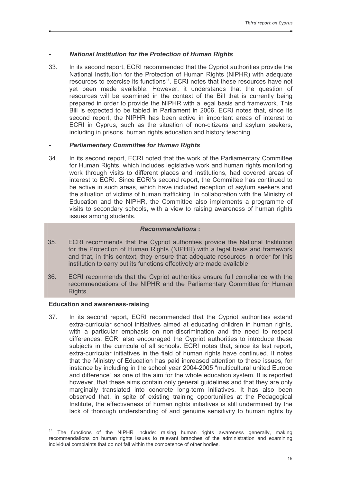# **National Institution for the Protection of Human Rights**

33. In its second report. ECRI recommended that the Cypriot authorities provide the National Institution for the Protection of Human Rights (NIPHR) with adequate resources to exercise its functions<sup>14</sup>. ECRI notes that these resources have not yet been made available. However, it understands that the question of resources will be examined in the context of the Bill that is currently being prepared in order to provide the NIPHR with a legal basis and framework. This Bill is expected to be tabled in Parliament in 2006. ECRI notes that, since its second report, the NIPHR has been active in important areas of interest to ECRI in Cyprus, such as the situation of non-citizens and asylum seekers. including in prisons, human rights education and history teaching.

## **Parliamentary Committee for Human Rights**

 $34.$ In its second report, ECRI noted that the work of the Parliamentary Committee for Human Rights, which includes legislative work and human rights monitoring work through visits to different places and institutions, had covered areas of interest to ECRI. Since ECRI's second report, the Committee has continued to be active in such areas, which have included reception of asylum seekers and the situation of victims of human trafficking. In collaboration with the Ministry of Education and the NIPHR, the Committee also implements a programme of visits to secondary schools, with a view to raising awareness of human rights issues among students.

# **Recommendations:**

- 35. ECRI recommends that the Cypriot authorities provide the National Institution for the Protection of Human Rights (NIPHR) with a legal basis and framework and that, in this context, they ensure that adequate resources in order for this institution to carry out its functions effectively are made available.
- 36. ECRI recommends that the Cypriot authorities ensure full compliance with the recommendations of the NIPHR and the Parliamentary Committee for Human Rights.

#### **Education and awareness-raising**

37 In its second report, ECRI recommended that the Cypriot authorities extend extra-curricular school initiatives aimed at educating children in human rights, with a particular emphasis on non-discrimination and the need to respect differences. ECRI also encouraged the Cypriot authorities to introduce these subjects in the curricula of all schools. ECRI notes that, since its last report, extra-curricular initiatives in the field of human rights have continued. It notes that the Ministry of Education has paid increased attention to these issues, for instance by including in the school year 2004-2005 "multicultural united Europe and difference" as one of the aim for the whole education system. It is reported however, that these aims contain only general guidelines and that they are only marginally translated into concrete long-term initiatives. It has also been observed that, in spite of existing training opportunities at the Pedagogical Institute, the effectiveness of human rights initiatives is still undermined by the lack of thorough understanding of and genuine sensitivity to human rights by

<sup>&</sup>lt;sup>14</sup> The functions of the NIPHR include: raising human rights awareness generally, making recommendations on human rights issues to relevant branches of the administration and examining individual complaints that do not fall within the competence of other bodies.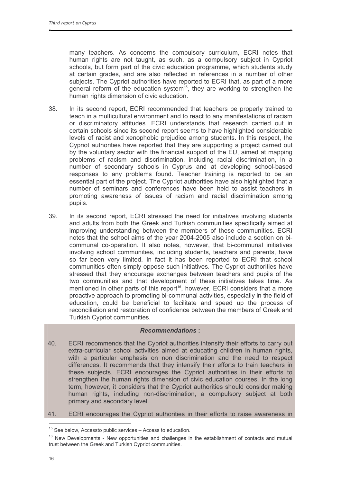many teachers. As concerns the compulsory curriculum, ECRI notes that human rights are not taught, as such, as a compulsory subject in Cypriot schools, but form part of the civic education programme, which students study at certain grades, and are also reflected in references in a number of other subjects. The Cypriot authorities have reported to ECRI that, as part of a more general reform of the education system<sup>15</sup>, they are working to strengthen the human rights dimension of civic education.

- 38. In its second report, ECRI recommended that teachers be properly trained to teach in a multicultural environment and to react to any manifestations of racism or discriminatory attitudes. ECRI understands that research carried out in certain schools since its second report seems to have highlighted considerable levels of racist and xenophobic prejudice among students. In this respect, the Cypriot authorities have reported that they are supporting a project carried out by the voluntary sector with the financial support of the EU, aimed at mapping problems of racism and discrimination, including racial discrimination, in a number of secondary schools in Cyprus and at developing school-based responses to any problems found. Teacher training is reported to be an essential part of the project. The Cypriot authorities have also highlighted that a number of seminars and conferences have been held to assist teachers in promoting awareness of issues of racism and racial discrimination among pupils.
- 39 In its second report, ECRI stressed the need for initiatives involving students and adults from both the Greek and Turkish communities specifically aimed at improving understanding between the members of these communities. ECRI notes that the school aims of the year 2004-2005 also include a section on bicommunal co-operation. It also notes, however, that bi-communal initiatives involving school communities, including students, teachers and parents, have so far been very limited. In fact it has been reported to ECRI that school communities often simply oppose such initiatives. The Cypriot authorities have stressed that they encourage exchanges between teachers and pupils of the two communities and that development of these initiatives takes time. As mentioned in other parts of this report<sup>16</sup>, however, ECRI considers that a more proactive approach to promoting bi-communal activities, especially in the field of education, could be beneficial to facilitate and speed up the process of reconciliation and restoration of confidence between the members of Greek and Turkish Cypriot communities.

- 40. ECRI recommends that the Cypriot authorities intensify their efforts to carry out extra-curricular school activities aimed at educating children in human rights, with a particular emphasis on non discrimination and the need to respect differences. It recommends that they intensify their efforts to train teachers in these subjects. ECRI encourages the Cypriot authorities in their efforts to strengthen the human rights dimension of civic education courses. In the long term, however, it considers that the Cypriot authorities should consider making human rights, including non-discrimination, a compulsory subject at both primary and secondary level.
- 41. ECRI encourages the Cypriot authorities in their efforts to raise awareness in

<sup>&</sup>lt;sup>15</sup> See below, Accessto public services - Access to education.

<sup>&</sup>lt;sup>16</sup> New Developments - New opportunities and challenges in the establishment of contacts and mutual trust between the Greek and Turkish Cypriot communities.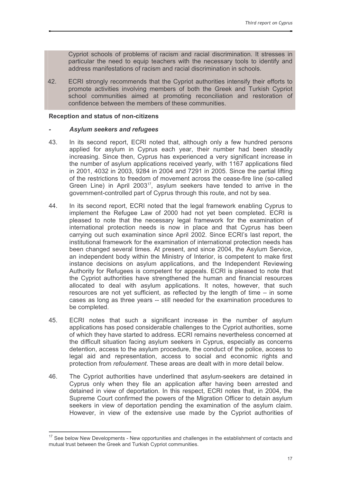Cypriot schools of problems of racism and racial discrimination. It stresses in particular the need to equip teachers with the necessary tools to identify and address manifestations of racism and racial discrimination in schools.

42. ECRI strongly recommends that the Cypriot authorities intensify their efforts to promote activities involving members of both the Greek and Turkish Cypriot school communities aimed at promoting reconciliation and restoration of confidence between the members of these communities.

#### **Reception and status of non-citizens**

#### **Asylum seekers and refugees**

- 43. In its second report, ECRI noted that, although only a few hundred persons applied for asylum in Cyprus each year, their number had been steadily increasing. Since then, Cyprus has experienced a very significant increase in the number of asylum applications received yearly, with 1167 applications filed in 2001, 4032 in 2003, 9284 in 2004 and 7291 in 2005. Since the partial lifting of the restrictions to freedom of movement across the cease-fire line (so-called Green Line) in April 2003<sup>17</sup>, asylum seekers have tended to arrive in the government-controlled part of Cyprus through this route, and not by sea.
- 44 In its second report, ECRI noted that the legal framework enabling Cyprus to implement the Refugee Law of 2000 had not yet been completed. ECRI is pleased to note that the necessary legal framework for the examination of international protection needs is now in place and that Cyprus has been carrying out such examination since April 2002. Since ECRI's last report, the institutional framework for the examination of international protection needs has been changed several times. At present, and since 2004, the Asylum Service, an independent body within the Ministry of Interior, is competent to make first instance decisions on asylum applications, and the Independent Reviewing Authority for Refugees is competent for appeals. ECRI is pleased to note that the Cypriot authorities have strengthened the human and financial resources allocated to deal with asylum applications. It notes, however, that such resources are not yet sufficient, as reflected by the length of time – in some cases as long as three years -- still needed for the examination procedures to be completed.
- ECRI notes that such a significant increase in the number of asylum 45 applications has posed considerable challenges to the Cypriot authorities, some of which they have started to address. ECRI remains nevertheless concerned at the difficult situation facing asylum seekers in Cyprus, especially as concerns detention, access to the asylum procedure, the conduct of the police, access to legal aid and representation, access to social and economic rights and protection from *refoulement*. These areas are dealt with in more detail below.
- 46. The Cypriot authorities have underlined that asylum-seekers are detained in Cyprus only when they file an application after having been arrested and detained in view of deportation. In this respect, ECRI notes that, in 2004, the Supreme Court confirmed the powers of the Migration Officer to detain asylum seekers in view of deportation pending the examination of the asylum claim. However, in view of the extensive use made by the Cypriot authorities of

<sup>&</sup>lt;sup>17</sup> See below New Developments - New opportunities and challenges in the establishment of contacts and mutual trust between the Greek and Turkish Cypriot communities.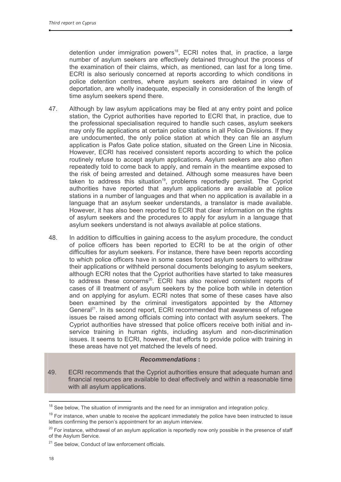detention under immigration powers<sup>18</sup>, ECRI notes that, in practice, a large number of asylum seekers are effectively detained throughout the process of the examination of their claims, which, as mentioned, can last for a long time. ECRI is also seriously concerned at reports according to which conditions in police detention centres, where asylum seekers are detained in view of deportation, are wholly inadequate, especially in consideration of the length of time asylum seekers spend there.

- 47. Although by law asylum applications may be filed at any entry point and police station, the Cypriot authorities have reported to ECRI that, in practice, due to the professional specialisation required to handle such cases, asylum seekers may only file applications at certain police stations in all Police Divisions. If they are undocumented, the only police station at which they can file an asylum application is Pafos Gate police station, situated on the Green Line in Nicosia. However, ECRI has received consistent reports according to which the police routinely refuse to accept asylum applications. Asylum seekers are also often repeatedly told to come back to apply, and remain in the meantime exposed to the risk of being arrested and detained. Although some measures have been taken to address this situation<sup>19</sup>, problems reportedly persist. The Cypriot authorities have reported that asylum applications are available at police stations in a number of languages and that when no application is available in a language that an asylum seeker understands, a translator is made available. However, it has also been reported to ECRI that clear information on the rights of asylum seekers and the procedures to apply for asylum in a language that asylum seekers understand is not always available at police stations.
- 48. In addition to difficulties in gaining access to the asylum procedure, the conduct of police officers has been reported to ECRI to be at the origin of other difficulties for asylum seekers. For instance, there have been reports according to which police officers have in some cases forced asylum seekers to withdraw their applications or withheld personal documents belonging to asylum seekers. although ECRI notes that the Cypriot authorities have started to take measures to address these concerns<sup>20</sup>. ECRI has also received consistent reports of cases of ill treatment of asylum seekers by the police both while in detention and on applying for asylum. ECRI notes that some of these cases have also been examined by the criminal investigators appointed by the Attorney General<sup>21</sup>. In its second report, ECRI recommended that awareness of refugee issues be raised among officials coming into contact with asylum seekers. The Cypriot authorities have stressed that police officers receive both initial and inservice training in human rights, including asylum and non-discrimination issues. It seems to ECRI, however, that efforts to provide police with training in these areas have not yet matched the levels of need.

# **Recommendations:**

49. ECRI recommends that the Cypriot authorities ensure that adequate human and financial resources are available to deal effectively and within a reasonable time with all asylum applications.

<sup>&</sup>lt;sup>18</sup> See below, The situation of immigrants and the need for an immigration and integration policy.

 $19$  For instance, when unable to receive the applicant immediately the police have been instructed to issue letters confirming the person's appointment for an asylum interview.

<sup>&</sup>lt;sup>20</sup> For instance, withdrawal of an asylum application is reportedly now only possible in the presence of staff of the Asylum Service.

<sup>&</sup>lt;sup>21</sup> See below, Conduct of law enforcement officials.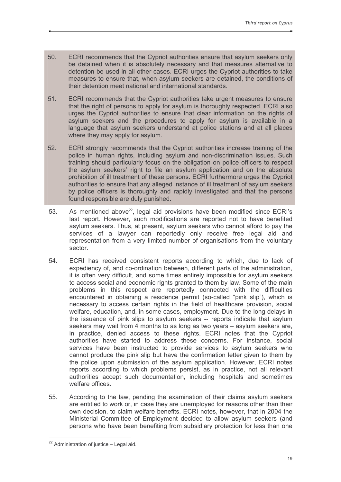- 50. ECRI recommends that the Cypriot authorities ensure that asylum seekers only be detained when it is absolutely necessary and that measures alternative to detention be used in all other cases. ECRI urges the Cypriot authorities to take measures to ensure that, when asylum seekers are detained, the conditions of their detention meet national and international standards.
- $51.$ ECRI recommends that the Cypriot authorities take urgent measures to ensure that the right of persons to apply for asylum is thoroughly respected. ECRI also urges the Cypriot authorities to ensure that clear information on the rights of asylum seekers and the procedures to apply for asylum is available in a language that asylum seekers understand at police stations and at all places where they may apply for asylum.
- 52. ECRI strongly recommends that the Cypriot authorities increase training of the police in human rights, including asylum and non-discrimination issues. Such training should particularly focus on the obligation on police officers to respect the asylum seekers' right to file an asylum application and on the absolute prohibition of ill treatment of these persons. ECRI furthermore urges the Cypriot authorities to ensure that any alleged instance of ill treatment of asylum seekers by police officers is thoroughly and rapidly investigated and that the persons found responsible are duly punished.
- As mentioned above<sup>22</sup>, legal aid provisions have been modified since ECRI's 53. last report. However, such modifications are reported not to have benefited asylum seekers. Thus, at present, asylum seekers who cannot afford to pay the services of a lawyer can reportedly only receive free legal aid and representation from a very limited number of organisations from the voluntary sector.
- 54 ECRI has received consistent reports according to which, due to lack of expediency of, and co-ordination between, different parts of the administration. it is often very difficult, and some times entirely impossible for asylum seekers to access social and economic rights granted to them by law. Some of the main problems in this respect are reportedly connected with the difficulties encountered in obtaining a residence permit (so-called "pink slip"), which is necessary to access certain rights in the field of healthcare provision, social welfare, education, and, in some cases, employment. Due to the long delays in the issuance of pink slips to asylum seekers -- reports indicate that asylum seekers may wait from 4 months to as long as two years – asylum seekers are. in practice, denied access to these rights. ECRI notes that the Cypriot authorities have started to address these concerns. For instance, social services have been instructed to provide services to asylum seekers who cannot produce the pink slip but have the confirmation letter given to them by the police upon submission of the asylum application. However, ECRI notes reports according to which problems persist, as in practice, not all relevant authorities accept such documentation, including hospitals and sometimes welfare offices.
- 55. According to the law, pending the examination of their claims asylum seekers are entitled to work or, in case they are unemployed for reasons other than their own decision, to claim welfare benefits. ECRI notes, however, that in 2004 the Ministerial Committee of Employment decided to allow asylum seekers (and persons who have been benefiting from subsidiary protection for less than one

 $22$  Administration of justice - Legal aid.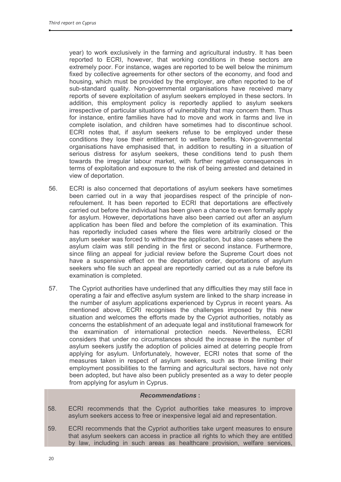year) to work exclusively in the farming and agricultural industry. It has been reported to ECRI, however, that working conditions in these sectors are extremely poor. For instance, wages are reported to be well below the minimum fixed by collective agreements for other sectors of the economy, and food and housing, which must be provided by the employer, are often reported to be of sub-standard quality. Non-governmental organisations have received many reports of severe exploitation of asylum seekers employed in these sectors. In addition, this employment policy is reportedly applied to asylum seekers irrespective of particular situations of vulnerability that may concern them. Thus for instance, entire families have had to move and work in farms and live in complete isolation, and children have sometimes had to discontinue school. ECRI notes that, if asylum seekers refuse to be employed under these conditions they lose their entitlement to welfare benefits. Non-governmental organisations have emphasised that, in addition to resulting in a situation of serious distress for asylum seekers, these conditions tend to push them towards the irregular labour market, with further negative consequences in terms of exploitation and exposure to the risk of being arrested and detained in view of deportation.

- 56. ECRI is also concerned that deportations of asylum seekers have sometimes been carried out in a way that ieopardises respect of the principle of nonrefoulement. It has been reported to ECRI that deportations are effectively carried out before the individual has been given a chance to even formally apply for asylum. However, deportations have also been carried out after an asylum application has been filed and before the completion of its examination. This has reportedly included cases where the files were arbitrarily closed or the asylum seeker was forced to withdraw the application, but also cases where the asylum claim was still pending in the first or second instance. Furthermore, since filing an appeal for judicial review before the Supreme Court does not have a suspensive effect on the deportation order, deportations of asylum seekers who file such an appeal are reportedly carried out as a rule before its examination is completed.
- 57. The Cypriot authorities have underlined that any difficulties they may still face in operating a fair and effective asylum system are linked to the sharp increase in the number of asylum applications experienced by Cyprus in recent years. As mentioned above, ECRI recognises the challenges imposed by this new situation and welcomes the efforts made by the Cypriot authorities, notably as concerns the establishment of an adequate legal and institutional framework for the examination of international protection needs. Nevertheless, ECRI considers that under no circumstances should the increase in the number of asylum seekers justify the adoption of policies aimed at deterring people from applying for asylum. Unfortunately, however, ECRI notes that some of the measures taken in respect of asylum seekers, such as those limiting their employment possibilities to the farming and agricultural sectors, have not only been adopted, but have also been publicly presented as a way to deter people from applying for asylum in Cyprus.

- ECRI recommends that the Cypriot authorities take measures to improve 58. asylum seekers access to free or inexpensive legal aid and representation.
- 59. ECRI recommends that the Cypriot authorities take urgent measures to ensure that asylum seekers can access in practice all rights to which they are entitled by law, including in such areas as healthcare provision, welfare services,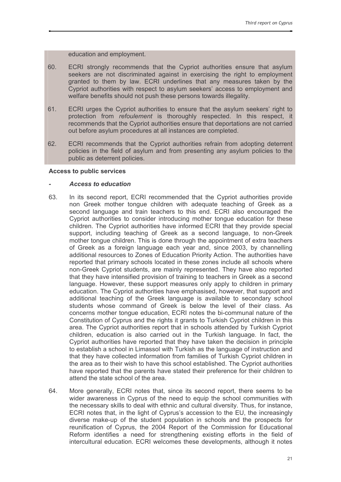education and employment.

- 60. ECRI strongly recommends that the Cypriot authorities ensure that asylum seekers are not discriminated against in exercising the right to employment granted to them by law. ECRI underlines that any measures taken by the Cypriot authorities with respect to asylum seekers' access to employment and welfare benefits should not push these persons towards illegality.
- 61. ECRI urges the Cypriot authorities to ensure that the asylum seekers' right to protection from *refoulement* is thoroughly respected. In this respect, it recommends that the Cypriot authorities ensure that deportations are not carried out before asylum procedures at all instances are completed.
- 62. ECRI recommends that the Cypriot authorities refrain from adopting deterrent policies in the field of asylum and from presenting any asylum policies to the public as deterrent policies.

#### **Access to public services**

#### **Access to education**

- 63. In its second report, ECRI recommended that the Cypriot authorities provide non Greek mother tonque children with adequate teaching of Greek as a second language and train teachers to this end. ECRI also encouraged the Cypriot authorities to consider introducing mother tongue education for these children. The Cypriot authorities have informed ECRI that they provide special support, including teaching of Greek as a second language, to non-Greek mother tongue children. This is done through the appointment of extra teachers of Greek as a foreign language each year and, since 2003, by channelling additional resources to Zones of Education Priority Action. The authorities have reported that primary schools located in these zones include all schools where non-Greek Cypriot students, are mainly represented. They have also reported that they have intensified provision of training to teachers in Greek as a second language. However, these support measures only apply to children in primary education. The Cypriot authorities have emphasised, however, that support and additional teaching of the Greek language is available to secondary school students whose command of Greek is below the level of their class. As concerns mother tonque education. ECRI notes the bi-communal nature of the Constitution of Cyprus and the rights it grants to Turkish Cypriot children in this area. The Cypriot authorities report that in schools attended by Turkish Cypriot children, education is also carried out in the Turkish language. In fact, the Cypriot authorities have reported that they have taken the decision in principle to establish a school in Limassol with Turkish as the language of instruction and that they have collected information from families of Turkish Cypriot children in the area as to their wish to have this school established. The Cypriot authorities have reported that the parents have stated their preference for their children to attend the state school of the area.
- 64 More generally, ECRI notes that, since its second report, there seems to be wider awareness in Cyprus of the need to equip the school communities with the necessary skills to deal with ethnic and cultural diversity. Thus, for instance, ECRI notes that, in the light of Cyprus's accession to the EU, the increasingly diverse make-up of the student population in schools and the prospects for reunification of Cyprus, the 2004 Report of the Commission for Educational Reform identifies a need for strengthening existing efforts in the field of intercultural education. ECRI welcomes these developments, although it notes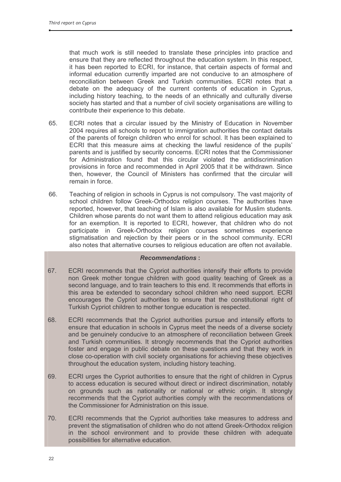that much work is still needed to translate these principles into practice and ensure that they are reflected throughout the education system. In this respect, it has been reported to ECRI, for instance, that certain aspects of formal and informal education currently imparted are not conducive to an atmosphere of reconciliation between Greek and Turkish communities. ECRI notes that a debate on the adequacy of the current contents of education in Cyprus, including history teaching, to the needs of an ethnically and culturally diverse society has started and that a number of civil society organisations are willing to contribute their experience to this debate.

- 65. ECRI notes that a circular issued by the Ministry of Education in November 2004 requires all schools to report to immigration authorities the contact details of the parents of foreign children who enrol for school. It has been explained to ECRI that this measure aims at checking the lawful residence of the pupils' parents and is justified by security concerns. ECRI notes that the Commissioner for Administration found that this circular violated the antidiscrimination provisions in force and recommended in April 2005 that it be withdrawn. Since then, however, the Council of Ministers has confirmed that the circular will remain in force.
- 66 Teaching of religion in schools in Cyprus is not compulsory. The vast majority of school children follow Greek-Orthodox religion courses. The authorities have reported, however, that teaching of Islam is also available for Muslim students. Children whose parents do not want them to attend religious education may ask for an exemption. It is reported to ECRI, however, that children who do not participate in Greek-Orthodox religion courses sometimes experience stigmatisation and rejection by their peers or in the school community. ECRI also notes that alternative courses to religious education are often not available.

- 67. ECRI recommends that the Cypriot authorities intensify their efforts to provide non Greek mother tongue children with good quality teaching of Greek as a second language, and to train teachers to this end. It recommends that efforts in this area be extended to secondary school children who need support. ECRI encourages the Cypriot authorities to ensure that the constitutional right of Turkish Cypriot children to mother tongue education is respected.
- 68 ECRI recommends that the Cypriot authorities pursue and intensify efforts to ensure that education in schools in Cyprus meet the needs of a diverse society and be genuinely conducive to an atmosphere of reconciliation between Greek and Turkish communities. It strongly recommends that the Cypriot authorities foster and engage in public debate on these guestions and that they work in close co-operation with civil society organisations for achieving these objectives throughout the education system, including history teaching.
- 69 ECRI urges the Cypriot authorities to ensure that the right of children in Cyprus to access education is secured without direct or indirect discrimination, notably on grounds such as nationality or national or ethnic origin. It strongly recommends that the Cypriot authorities comply with the recommendations of the Commissioner for Administration on this issue.
- 70. ECRI recommends that the Cypriot authorities take measures to address and prevent the stigmatisation of children who do not attend Greek-Orthodox religion in the school environment and to provide these children with adequate possibilities for alternative education.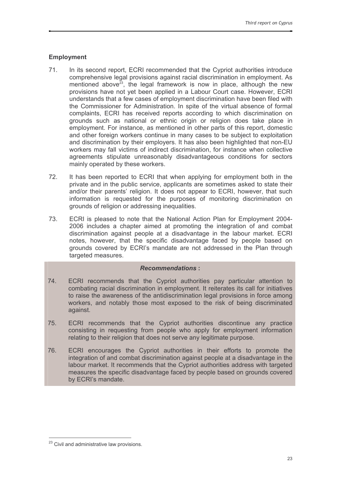# **Employment**

- $71.$ In its second report, ECRI recommended that the Cypriot authorities introduce comprehensive legal provisions against racial discrimination in employment. As mentioned above<sup>23</sup>, the legal framework is now in place, although the new provisions have not yet been applied in a Labour Court case. However, ECRI understands that a few cases of employment discrimination have been filed with the Commissioner for Administration. In spite of the virtual absence of formal complaints, ECRI has received reports according to which discrimination on grounds such as national or ethnic origin or religion does take place in employment. For instance, as mentioned in other parts of this report, domestic and other foreign workers continue in many cases to be subject to exploitation and discrimination by their employers. It has also been highlighted that non-EU workers may fall victims of indirect discrimination, for instance when collective agreements stipulate unreasonably disadvantageous conditions for sectors mainly operated by these workers.
- $72.$ It has been reported to ECRI that when applying for employment both in the private and in the public service, applicants are sometimes asked to state their and/or their parents' religion. It does not appear to ECRI, however, that such information is requested for the purposes of monitoring discrimination on grounds of religion or addressing inequalities.
- 73 ECRI is pleased to note that the National Action Plan for Employment 2004-2006 includes a chapter aimed at promoting the integration of and combat discrimination against people at a disadvantage in the labour market. ECRI notes, however, that the specific disadvantage faced by people based on grounds covered by ECRI's mandate are not addressed in the Plan through targeted measures.

- 74. ECRI recommends that the Cypriot authorities pay particular attention to combating racial discrimination in employment. It reiterates its call for initiatives to raise the awareness of the antidiscrimination legal provisions in force among workers, and notably those most exposed to the risk of being discriminated against.
- 75. ECRI recommends that the Cypriot authorities discontinue any practice consisting in requesting from people who apply for employment information relating to their religion that does not serve any legitimate purpose.
- 76 ECRI encourages the Cypriot authorities in their efforts to promote the integration of and combat discrimination against people at a disadvantage in the labour market. It recommends that the Cypriot authorities address with targeted measures the specific disadvantage faced by people based on grounds covered by ECRI's mandate.

<sup>&</sup>lt;sup>23</sup> Civil and administrative law provisions.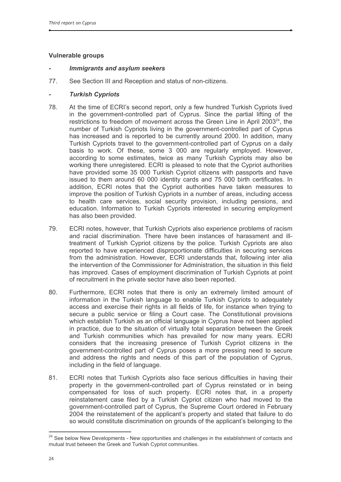# **Vulnerable groups**

# **Immigrants and asylum seekers**

77. See Section III and Reception and status of non-citizens.

# **Turkish Cypriots**

- 78. At the time of ECRI's second report, only a few hundred Turkish Cypriots lived in the government-controlled part of Cyprus. Since the partial lifting of the restrictions to freedom of movement across the Green Line in April 2003<sup>24</sup>, the number of Turkish Cypriots living in the government-controlled part of Cyprus has increased and is reported to be currently around 2000. In addition, many Turkish Cypriots travel to the government-controlled part of Cyprus on a daily basis to work. Of these, some 3 000 are regularly employed. However, according to some estimates, twice as many Turkish Cypriots may also be working there unregistered. ECRI is pleased to note that the Cypriot authorities have provided some 35 000 Turkish Cypriot citizens with passports and have issued to them around 60 000 identity cards and 75 000 birth certificates. In addition, ECRI notes that the Cypriot authorities have taken measures to improve the position of Turkish Cypriots in a number of areas, including access to health care services, social security provision, including pensions, and education. Information to Turkish Cypriots interested in securing employment has also been provided.
- ECRI notes, however, that Turkish Cypriots also experience problems of racism 79. and racial discrimination. There have been instances of harassment and illtreatment of Turkish Cypriot citizens by the police. Turkish Cypriots are also reported to have experienced disproportionate difficulties in securing services from the administration. However, ECRI understands that, following inter alia the intervention of the Commissioner for Administration, the situation in this field has improved. Cases of employment discrimination of Turkish Cypriots at point of recruitment in the private sector have also been reported.
- 80. Furthermore, ECRI notes that there is only an extremely limited amount of information in the Turkish language to enable Turkish Cypriots to adequately access and exercise their rights in all fields of life, for instance when trying to secure a public service or filing a Court case. The Constitutional provisions which establish Turkish as an official language in Cyprus have not been applied in practice, due to the situation of virtually total separation between the Greek and Turkish communities which has prevailed for now many years. ECRI considers that the increasing presence of Turkish Cypriot citizens in the government-controlled part of Cyprus poses a more pressing need to secure and address the rights and needs of this part of the population of Cyprus, including in the field of language.
- $81.$ ECRI notes that Turkish Cypriots also face serious difficulties in having their property in the government-controlled part of Cyprus reinstated or in being compensated for loss of such property. ECRI notes that, in a property reinstatement case filed by a Turkish Cypriot citizen who had moved to the government-controlled part of Cyprus, the Supreme Court ordered in February 2004 the reinstatement of the applicant's property and stated that failure to do so would constitute discrimination on grounds of the applicant's belonging to the

<sup>&</sup>lt;sup>24</sup> See below New Developments - New opportunities and challenges in the establishment of contacts and mutual trust between the Greek and Turkish Cypriot communities.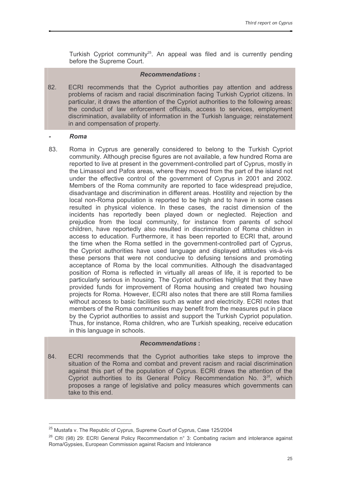Turkish Cypriot community<sup>25</sup>. An appeal was filed and is currently pending before the Supreme Court.

# **Recommendations:**

82. ECRI recommends that the Cypriot authorities pay attention and address problems of racism and racial discrimination facing Turkish Cypriot citizens. In particular, it draws the attention of the Cypriot authorities to the following areas: the conduct of law enforcement officials, access to services, employment discrimination, availability of information in the Turkish language; reinstatement in and compensation of property.

## Roma

Roma in Cyprus are generally considered to belong to the Turkish Cypriot 83. community. Although precise figures are not available, a few hundred Roma are reported to live at present in the government-controlled part of Cyprus, mostly in the Limassol and Pafos areas, where they moved from the part of the island not under the effective control of the government of Cyprus in 2001 and 2002. Members of the Roma community are reported to face widespread prejudice, disadvantage and discrimination in different areas. Hostility and rejection by the local non-Roma population is reported to be high and to have in some cases resulted in physical violence. In these cases, the racist dimension of the incidents has reportedly been played down or neglected. Rejection and prejudice from the local community, for instance from parents of school children, have reportedly also resulted in discrimination of Roma children in access to education. Furthermore, it has been reported to ECRI that, around the time when the Roma settled in the government-controlled part of Cyprus, the Cypriot authorities have used language and displayed attitudes vis-à-vis these persons that were not conducive to defusing tensions and promoting acceptance of Roma by the local communities. Although the disadvantaged position of Roma is reflected in virtually all areas of life, it is reported to be particularly serious in housing. The Cypriot authorities highlight that they have provided funds for improvement of Roma housing and created two housing projects for Roma. However, ECRI also notes that there are still Roma families without access to basic facilities such as water and electricity. ECRI notes that members of the Roma communities may benefit from the measures put in place by the Cypriot authorities to assist and support the Turkish Cypriot population. Thus, for instance, Roma children, who are Turkish speaking, receive education in this language in schools.

# **Recommendations:**

ECRI recommends that the Cypriot authorities take steps to improve the 84. situation of the Roma and combat and prevent racism and racial discrimination against this part of the population of Cyprus. ECRI draws the attention of the Cypriot authorities to its General Policy Recommendation No. 3<sup>26</sup>, which proposes a range of legislative and policy measures which governments can take to this end

<sup>&</sup>lt;sup>25</sup> Mustafa v. The Republic of Cyprus, Supreme Court of Cyprus, Case 125/2004

<sup>&</sup>lt;sup>26</sup> CRI (98) 29: ECRI General Policy Recommendation n° 3: Combating racism and intolerance against Roma/Gypsies, European Commission against Racism and Intolerance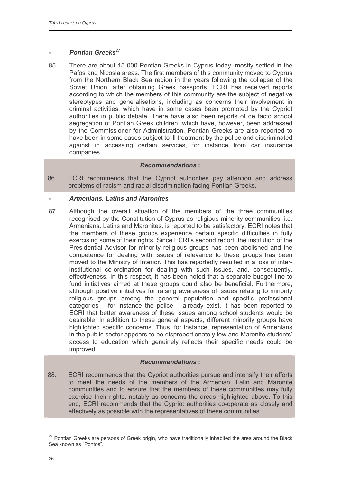# Pontian Greeks<sup>27</sup>

85. There are about 15 000 Pontian Greeks in Cyprus today, mostly settled in the Pafos and Nicosia areas. The first members of this community moved to Cyprus from the Northern Black Sea region in the years following the collapse of the Soviet Union, after obtaining Greek passports. ECRI has received reports according to which the members of this community are the subject of negative stereotypes and generalisations, including as concerns their involvement in criminal activities, which have in some cases been promoted by the Cypriot authorities in public debate. There have also been reports of de facto school segregation of Pontian Greek children, which have, however, been addressed by the Commissioner for Administration. Pontian Greeks are also reported to have been in some cases subject to ill treatment by the police and discriminated against in accessing certain services, for instance from car insurance companies.

# **Recommendations:**

86. ECRI recommends that the Cypriot authorities pay attention and address problems of racism and racial discrimination facing Pontian Greeks.

# **Armenians, Latins and Maronites**

87. Although the overall situation of the members of the three communities recognised by the Constitution of Cyprus as religious minority communities, i.e. Armenians, Latins and Maronites, is reported to be satisfactory, ECRI notes that the members of these groups experience certain specific difficulties in fully exercising some of their rights. Since ECRI's second report, the institution of the Presidential Advisor for minority religious groups has been abolished and the competence for dealing with issues of relevance to these groups has been moved to the Ministry of Interior. This has reportedly resulted in a loss of interinstitutional co-ordination for dealing with such issues, and, consequently, effectiveness. In this respect, it has been noted that a separate budget line to fund initiatives aimed at these groups could also be beneficial. Furthermore, although positive initiatives for raising awareness of issues relating to minority religious groups among the general population and specific professional categories  $-$  for instance the police  $-$  already exist, it has been reported to ECRI that better awareness of these issues among school students would be desirable. In addition to these general aspects, different minority groups have highlighted specific concerns. Thus, for instance, representation of Armenians in the public sector appears to be disproportionately low and Maronite students' access to education which genuinely reflects their specific needs could be improved.

# **Recommendations:**

88. ECRI recommends that the Cypriot authorities pursue and intensify their efforts to meet the needs of the members of the Armenian. Latin and Maronite communities and to ensure that the members of these communities may fully exercise their rights, notably as concerns the areas highlighted above. To this end, ECRI recommends that the Cypriot authorities co-operate as closely and effectively as possible with the representatives of these communities.

<sup>&</sup>lt;sup>27</sup> Pontian Greeks are persons of Greek origin, who have traditionally inhabited the area around the Black Sea known as "Pontos".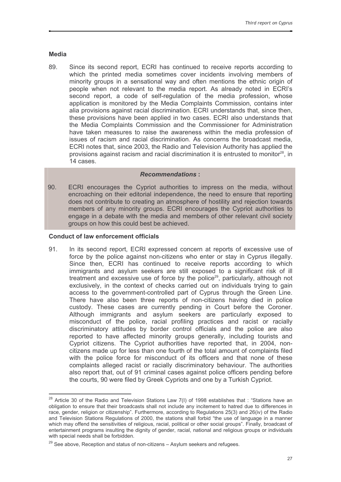## **Media**

89 Since its second report. ECRI has continued to receive reports according to which the printed media sometimes cover incidents involving members of minority groups in a sensational way and often mentions the ethnic origin of people when not relevant to the media report. As already noted in ECRI's second report, a code of self-regulation of the media profession, whose application is monitored by the Media Complaints Commission, contains inter alia provisions against racial discrimination. ECRI understands that, since then, these provisions have been applied in two cases. ECRI also understands that the Media Complaints Commission and the Commissioner for Administration have taken measures to raise the awareness within the media profession of issues of racism and racial discrimination. As concerns the broadcast media, ECRI notes that, since 2003, the Radio and Television Authority has applied the provisions against racism and racial discrimination it is entrusted to monitor<sup>28</sup>. in 14 cases

## **Recommendations:**

90. ECRI encourages the Cypriot authorities to impress on the media, without encroaching on their editorial independence, the need to ensure that reporting does not contribute to creating an atmosphere of hostility and rejection towards members of any minority groups. ECRI encourages the Cypriot authorities to engage in a debate with the media and members of other relevant civil society groups on how this could best be achieved.

## **Conduct of law enforcement officials**

91 In its second report. ECRI expressed concern at reports of excessive use of force by the police against non-citizens who enter or stay in Cyprus illegally. Since then, ECRI has continued to receive reports according to which immigrants and asylum seekers are still exposed to a significant risk of ill treatment and excessive use of force by the police<sup>29</sup>, particularly, although not exclusively, in the context of checks carried out on individuals trying to gain access to the government-controlled part of Cyprus through the Green Line. There have also been three reports of non-citizens having died in police custody. These cases are currently pending in Court before the Coroner. Although immigrants and asylum seekers are particularly exposed to misconduct of the police, racial profiling practices and racist or racially discriminatory attitudes by border control officials and the police are also reported to have affected minority groups generally, including tourists and Cypriot citizens. The Cypriot authorities have reported that, in 2004, noncitizens made up for less than one fourth of the total amount of complaints filed with the police force for misconduct of its officers and that none of these complaints alleged racist or racially discriminatory behaviour. The authorities also report that, out of 91 criminal cases against police officers pending before the courts, 90 were filed by Greek Cypriots and one by a Turkish Cypriot.

<sup>&</sup>lt;sup>28</sup> Article 30 of the Radio and Television Stations Law 7(I) of 1998 establishes that : "Stations have an obligation to ensure that their broadcasts shall not include any incitement to hatred due to differences in race, gender, religion or citizenship". Furthermore, according to Regulations 25(3) and 26(iv) of the Radio and Television Stations Regulations of 2000, the stations shall forbid "the use of language in a manner which may offend the sensitivities of religious, racial, political or other social groups". Finally, broadcast of entertainment programs insulting the dignity of gender, racial, national and religious groups or individuals with special needs shall be forbidden.

 $29$  See above, Reception and status of non-citizens  $-$  Asylum seekers and refugees.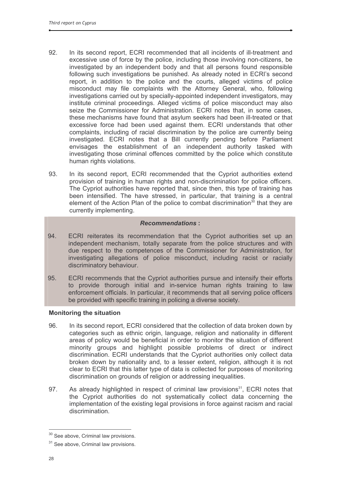- 92. In its second report, ECRI recommended that all incidents of ill-treatment and excessive use of force by the police, including those involving non-citizens, be investigated by an independent body and that all persons found responsible following such investigations be punished. As already noted in ECRI's second report, in addition to the police and the courts, alleged victims of police misconduct may file complaints with the Attorney General, who, following investigations carried out by specially-appointed independent investigators, may institute criminal proceedings. Alleged victims of police misconduct may also seize the Commissioner for Administration. ECRI notes that, in some cases, these mechanisms have found that asylum seekers had been ill-treated or that excessive force had been used against them. ECRI understands that other complaints, including of racial discrimination by the police are currently being investigated. ECRI notes that a Bill currently pending before Parliament envisages the establishment of an independent authority tasked with investigating those criminal offences committed by the police which constitute human rights violations.
- 93. In its second report, ECRI recommended that the Cypriot authorities extend provision of training in human rights and non-discrimination for police officers. The Cypriot authorities have reported that, since then, this type of training has been intensified. The have stressed, in particular, that training is a central element of the Action Plan of the police to combat discrimination<sup>30</sup> that they are currently implementing.

# **Recommendations:**

- 94 ECRI reiterates its recommendation that the Cypriot authorities set up an independent mechanism, totally separate from the police structures and with due respect to the competences of the Commissioner for Administration, for investigating allegations of police misconduct, including racist or racially discriminatory behaviour.
- 95. ECRI recommends that the Cypriot authorities pursue and intensify their efforts to provide thorough initial and in-service human rights training to law enforcement officials. In particular, it recommends that all serving police officers be provided with specific training in policing a diverse society.

#### **Monitoring the situation**

- In its second report, ECRI considered that the collection of data broken down by 96. categories such as ethnic origin, language, religion and nationality in different areas of policy would be beneficial in order to monitor the situation of different minority groups and highlight possible problems of direct or indirect discrimination. ECRI understands that the Cypriot authorities only collect data broken down by nationality and, to a lesser extent, religion, although it is not clear to ECRI that this latter type of data is collected for purposes of monitoring discrimination on grounds of religion or addressing inequalities.
- As already highlighted in respect of criminal law provisions<sup>31</sup>, ECRI notes that 97. the Cypriot authorities do not systematically collect data concerning the implementation of the existing legal provisions in force against racism and racial discrimination.

<sup>&</sup>lt;sup>30</sup> See above, Criminal law provisions.

<sup>&</sup>lt;sup>31</sup> See above, Criminal law provisions.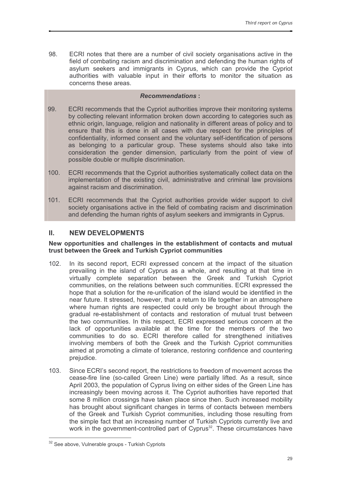98. ECRI notes that there are a number of civil society organisations active in the field of combating racism and discrimination and defending the human rights of asylum seekers and immigrants in Cyprus, which can provide the Cypriot authorities with valuable input in their efforts to monitor the situation as concerns these areas.

# **Recommendations:**

- 99. ECRI recommends that the Cypriot authorities improve their monitoring systems by collecting relevant information broken down according to categories such as ethnic origin, language, religion and nationality in different areas of policy and to ensure that this is done in all cases with due respect for the principles of confidentiality, informed consent and the voluntary self-identification of persons as belonging to a particular group. These systems should also take into consideration the gender dimension, particularly from the point of view of possible double or multiple discrimination.
- $100.$ ECRI recommends that the Cypriot authorities systematically collect data on the implementation of the existing civil, administrative and criminal law provisions against racism and discrimination.
- $101.$ ECRI recommends that the Cypriot authorities provide wider support to civil society organisations active in the field of combating racism and discrimination and defending the human rights of asylum seekers and immigrants in Cyprus.

#### $II.$ **NEW DEVELOPMENTS**

# New opportunities and challenges in the establishment of contacts and mutual trust between the Greek and Turkish Cypriot communities

- $102.$ In its second report, ECRI expressed concern at the impact of the situation prevailing in the island of Cyprus as a whole, and resulting at that time in virtually complete separation between the Greek and Turkish Cypriot communities, on the relations between such communities. ECRI expressed the hope that a solution for the re-unification of the island would be identified in the near future. It stressed, however, that a return to life together in an atmosphere where human rights are respected could only be brought about through the gradual re-establishment of contacts and restoration of mutual trust between the two communities. In this respect, ECRI expressed serious concern at the lack of opportunities available at the time for the members of the two communities to do so. ECRI therefore called for strengthened initiatives involving members of both the Greek and the Turkish Cypriot communities aimed at promoting a climate of tolerance, restoring confidence and countering prejudice.
- Since ECRI's second report, the restrictions to freedom of movement across the  $103.$ cease-fire line (so-called Green Line) were partially lifted. As a result, since April 2003, the population of Cyprus living on either sides of the Green Line has increasingly been moving across it. The Cypriot authorities have reported that some 8 million crossings have taken place since then. Such increased mobility has brought about significant changes in terms of contacts between members of the Greek and Turkish Cypriot communities, including those resulting from the simple fact that an increasing number of Turkish Cypriots currently live and work in the government-controlled part of Cyprus<sup>32</sup>. These circumstances have

<sup>&</sup>lt;sup>32</sup> See above. Vulnerable groups - Turkish Cypriots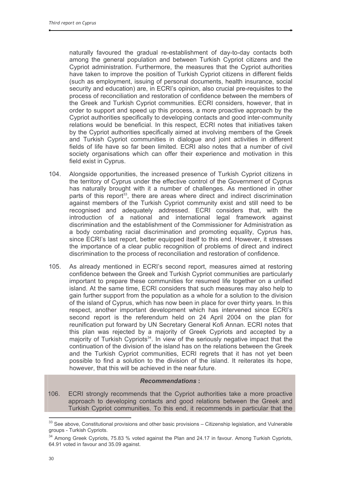naturally favoured the gradual re-establishment of day-to-day contacts both among the general population and between Turkish Cypriot citizens and the Cypriot administration. Furthermore, the measures that the Cypriot authorities have taken to improve the position of Turkish Cypriot citizens in different fields (such as employment, issuing of personal documents, health insurance, social security and education) are, in ECRI's opinion, also crucial pre-requisites to the process of reconciliation and restoration of confidence between the members of the Greek and Turkish Cypriot communities. ECRI considers, however, that in order to support and speed up this process, a more proactive approach by the Cypriot authorities specifically to developing contacts and good inter-community relations would be beneficial. In this respect, ECRI notes that initiatives taken by the Cypriot authorities specifically aimed at involving members of the Greek and Turkish Cypriot communities in dialoque and joint activities in different fields of life have so far been limited. ECRI also notes that a number of civil society organisations which can offer their experience and motivation in this field exist in Cyprus.

- $104.$ Alongside opportunities, the increased presence of Turkish Cypriot citizens in the territory of Cyprus under the effective control of the Government of Cyprus has naturally brought with it a number of challenges. As mentioned in other parts of this report<sup>33</sup>, there are areas where direct and indirect discrimination against members of the Turkish Cypriot community exist and still need to be recognised and adequately addressed. ECRI considers that, with the introduction of a national and international legal framework against discrimination and the establishment of the Commissioner for Administration as a body combating racial discrimination and promoting equality, Cyprus has, since ECRI's last report, better equipped itself to this end. However, it stresses the importance of a clear public recognition of problems of direct and indirect discrimination to the process of reconciliation and restoration of confidence.
- $105.$ As already mentioned in ECRI's second report, measures aimed at restoring confidence between the Greek and Turkish Cypriot communities are particularly important to prepare these communities for resumed life together on a unified island. At the same time, ECRI considers that such measures may also help to gain further support from the population as a whole for a solution to the division of the island of Cyprus, which has now been in place for over thirty years. In this respect, another important development which has intervened since ECRI's second report is the referendum held on 24 April 2004 on the plan for reunification put forward by UN Secretary General Kofi Annan. ECRI notes that this plan was rejected by a majority of Greek Cypriots and accepted by a majority of Turkish Cypriots<sup>34</sup>. In view of the seriously negative impact that the continuation of the division of the island has on the relations between the Greek and the Turkish Cypriot communities, ECRI regrets that it has not yet been possible to find a solution to the division of the island. It reiterates its hope, however, that this will be achieved in the near future.

#### **Recommendations:**

ECRI strongly recommends that the Cypriot authorities take a more proactive  $106.$ approach to developing contacts and good relations between the Greek and Turkish Cypriot communities. To this end, it recommends in particular that the

<sup>33</sup> See above, Constitutional provisions and other basic provisions - Citizenship legislation, and Vulnerable groups - Turkish Cypriots.

<sup>&</sup>lt;sup>34</sup> Among Greek Cypriots, 75.83 % voted against the Plan and 24.17 in favour. Among Turkish Cypriots, 64.91 voted in favour and 35.09 against.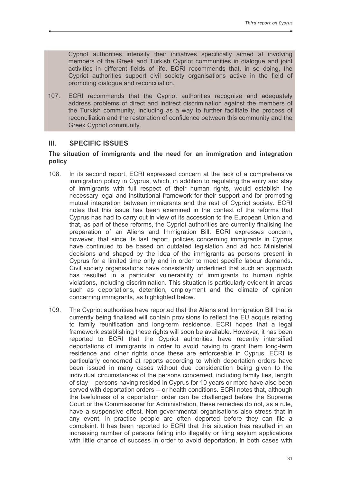Cypriot authorities intensify their initiatives specifically aimed at involving members of the Greek and Turkish Cypriot communities in dialoque and joint activities in different fields of life. ECRI recommends that, in so doing, the Cypriot authorities support civil society organisations active in the field of promoting dialogue and reconciliation.

ECRI recommends that the Cypriot authorities recognise and adequately  $107.$ address problems of direct and indirect discrimination against the members of the Turkish community, including as a way to further facilitate the process of reconciliation and the restoration of confidence between this community and the **Greek Cvpriot community.** 

#### $III.$ **SPECIFIC ISSUES**

#### The situation of immigrants and the need for an immigration and integration policy

- $108.$ In its second report, ECRI expressed concern at the lack of a comprehensive immigration policy in Cyprus, which, in addition to regulating the entry and stay of immigrants with full respect of their human rights, would establish the necessary legal and institutional framework for their support and for promoting mutual integration between immigrants and the rest of Cypriot society. ECRI notes that this issue has been examined in the context of the reforms that Cyprus has had to carry out in view of its accession to the European Union and that, as part of these reforms, the Cypriot authorities are currently finalising the preparation of an Aliens and Immigration Bill. ECRI expresses concern, however, that since its last report, policies concerning immigrants in Cyprus have continued to be based on outdated legislation and ad hoc Ministerial decisions and shaped by the idea of the immigrants as persons present in Cyprus for a limited time only and in order to meet specific labour demands. Civil society organisations have consistently underlined that such an approach has resulted in a particular vulnerability of immigrants to human rights violations, including discrimination. This situation is particularly evident in areas such as deportations, detention, employment and the climate of opinion concerning immigrants, as highlighted below.
- The Cypriot authorities have reported that the Aliens and Immigration Bill that is 109. currently being finalised will contain provisions to reflect the EU acquis relating to family reunification and long-term residence. ECRI hopes that a legal framework establishing these rights will soon be available. However, it has been reported to ECRI that the Cypriot authorities have recently intensified deportations of immigrants in order to avoid having to grant them long-term residence and other rights once these are enforceable in Cyprus. ECRI is particularly concerned at reports according to which deportation orders have been issued in many cases without due consideration being given to the individual circumstances of the persons concerned, including family ties, length of stay – persons having resided in Cyprus for 10 years or more have also been served with deportation orders -- or health conditions. ECRI notes that, although the lawfulness of a deportation order can be challenged before the Supreme Court or the Commissioner for Administration, these remedies do not, as a rule, have a suspensive effect. Non-governmental organisations also stress that in any event, in practice people are often deported before they can file a complaint. It has been reported to ECRI that this situation has resulted in an increasing number of persons falling into illegality or filing asylum applications with little chance of success in order to avoid deportation, in both cases with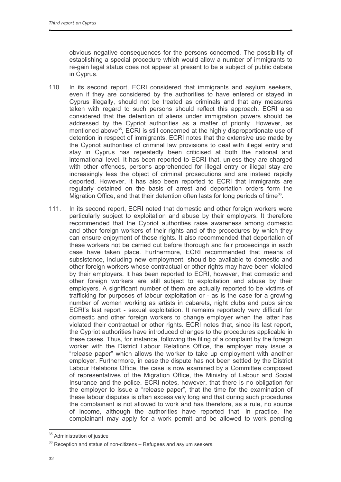obvious negative consequences for the persons concerned. The possibility of establishing a special procedure which would allow a number of immigrants to re-gain legal status does not appear at present to be a subject of public debate in Cyprus.

- $110$ In its second report. ECRI considered that immigrants and asylum seekers. even if they are considered by the authorities to have entered or stayed in Cyprus illegally, should not be treated as criminals and that any measures taken with regard to such persons should reflect this approach. ECRI also considered that the detention of aliens under immigration powers should be addressed by the Cypriot authorities as a matter of priority. However, as mentioned above<sup>35</sup>, ECRI is still concerned at the highly disproportionate use of detention in respect of immigrants. ECRI notes that the extensive use made by the Cypriot authorities of criminal law provisions to deal with illegal entry and stay in Cyprus has repeatedly been criticised at both the national and international level. It has been reported to ECRI that, unless they are charged with other offences, persons apprehended for illegal entry or illegal stay are increasingly less the object of criminal prosecutions and are instead rapidly deported. However, it has also been reported to ECRI that immigrants are regularly detained on the basis of arrest and deportation orders form the Migration Office, and that their detention often lasts for long periods of time<sup>36</sup>.
- In its second report, ECRI noted that domestic and other foreign workers were  $111.$ particularly subject to exploitation and abuse by their employers. It therefore recommended that the Cypriot authorities raise awareness among domestic and other foreign workers of their rights and of the procedures by which they can ensure enjoyment of these rights. It also recommended that deportation of these workers not be carried out before thorough and fair proceedings in each case have taken place. Furthermore, ECRI recommended that means of subsistence, including new employment, should be available to domestic and other foreign workers whose contractual or other rights may have been violated by their employers. It has been reported to ECRI, however, that domestic and other foreign workers are still subject to exploitation and abuse by their employers. A significant number of them are actually reported to be victims of trafficking for purposes of labour exploitation or - as is the case for a growing number of women working as artists in cabarets, night clubs and pubs since ECRI's last report - sexual exploitation. It remains reportedly very difficult for domestic and other foreign workers to change employer when the latter has violated their contractual or other rights. ECRI notes that, since its last report. the Cypriot authorities have introduced changes to the procedures applicable in these cases. Thus, for instance, following the filing of a complaint by the foreign worker with the District Labour Relations Office, the employer may issue a "release paper" which allows the worker to take up employment with another employer. Furthermore, in case the dispute has not been settled by the District Labour Relations Office, the case is now examined by a Committee composed of representatives of the Migration Office, the Ministry of Labour and Social Insurance and the police. ECRI notes, however, that there is no obligation for the employer to issue a "release paper", that the time for the examination of these labour disputes is often excessively long and that during such procedures the complainant is not allowed to work and has therefore, as a rule, no source of income, although the authorities have reported that, in practice, the complainant may apply for a work permit and be allowed to work pending

<sup>&</sup>lt;sup>35</sup> Administration of justice

<sup>&</sup>lt;sup>36</sup> Reception and status of non-citizens - Refugees and asylum seekers.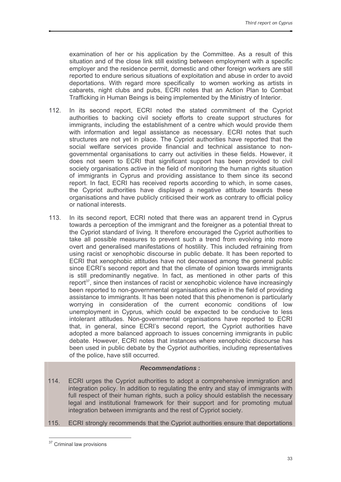examination of her or his application by the Committee. As a result of this situation and of the close link still existing between employment with a specific employer and the residence permit, domestic and other foreign workers are still reported to endure serious situations of exploitation and abuse in order to avoid deportations. With regard more specifically to women working as artists in cabarets, night clubs and pubs, ECRI notes that an Action Plan to Combat Trafficking in Human Beings is being implemented by the Ministry of Interior.

- $112.$ In its second report, ECRI noted the stated commitment of the Cypriot authorities to backing civil society efforts to create support structures for immigrants, including the establishment of a centre which would provide them with information and legal assistance as necessary. ECRI notes that such structures are not yet in place. The Cypriot authorities have reported that the social welfare services provide financial and technical assistance to nongovernmental organisations to carry out activities in these fields. However, it does not seem to ECRI that significant support has been provided to civil society organisations active in the field of monitoring the human rights situation of immigrants in Cyprus and providing assistance to them since its second report. In fact. ECRI has received reports according to which, in some cases. the Cypriot authorities have displayed a negative attitude towards these organisations and have publicly criticised their work as contrary to official policy or national interests.
- $113.$ In its second report, ECRI noted that there was an apparent trend in Cyprus towards a perception of the immigrant and the foreigner as a potential threat to the Cypriot standard of living. It therefore encouraged the Cypriot authorities to take all possible measures to prevent such a trend from evolving into more overt and generalised manifestations of hostility. This included refraining from using racist or xenophobic discourse in public debate. It has been reported to ECRI that xenophobic attitudes have not decreased among the general public since ECRI's second report and that the climate of opinion towards immigrants is still predominantly negative. In fact, as mentioned in other parts of this report<sup>37</sup>, since then instances of racist or xenophobic violence have increasingly been reported to non-governmental organisations active in the field of providing assistance to immigrants. It has been noted that this phenomenon is particularly worrying in consideration of the current economic conditions of low unemployment in Cyprus, which could be expected to be conducive to less intolerant attitudes. Non-governmental organisations have reported to ECRI that, in general, since ECRI's second report, the Cypriot authorities have adopted a more balanced approach to issues concerning immigrants in public debate. However, ECRI notes that instances where xenophobic discourse has been used in public debate by the Cypriot authorities, including representatives of the police, have still occurred.

- $114.$ ECRI urges the Cypriot authorities to adopt a comprehensive immigration and integration policy. In addition to regulating the entry and stay of immigrants with full respect of their human rights, such a policy should establish the necessary legal and institutional framework for their support and for promoting mutual integration between immigrants and the rest of Cypriot society.
- 115. ECRI strongly recommends that the Cypriot authorities ensure that deportations

<sup>&</sup>lt;sup>37</sup> Criminal law provisions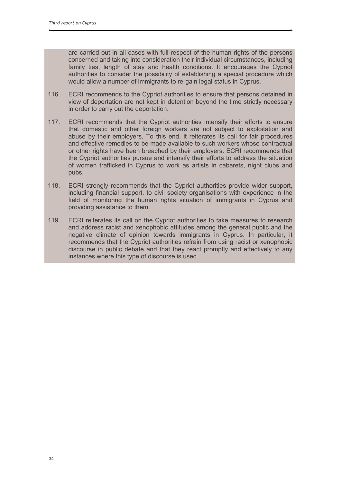are carried out in all cases with full respect of the human rights of the persons concerned and taking into consideration their individual circumstances, including family ties, length of stay and health conditions. It encourages the Cypriot authorities to consider the possibility of establishing a special procedure which would allow a number of immigrants to re-gain legal status in Cyprus.

- $116.$ ECRI recommends to the Cypriot authorities to ensure that persons detained in view of deportation are not kept in detention beyond the time strictly necessary in order to carry out the deportation.
- $117.$ ECRI recommends that the Cypriot authorities intensify their efforts to ensure that domestic and other foreign workers are not subject to exploitation and abuse by their employers. To this end, it reiterates its call for fair procedures and effective remedies to be made available to such workers whose contractual or other rights have been breached by their employers. ECRI recommends that the Cypriot authorities pursue and intensify their efforts to address the situation of women trafficked in Cyprus to work as artists in cabarets, night clubs and pubs.
- 118. ECRI strongly recommends that the Cypriot authorities provide wider support, including financial support, to civil society organisations with experience in the field of monitoring the human rights situation of immigrants in Cyprus and providing assistance to them.
- 119. ECRI reiterates its call on the Cypriot authorities to take measures to research and address racist and xenophobic attitudes among the general public and the negative climate of opinion towards immigrants in Cyprus. In particular, it recommends that the Cypriot authorities refrain from using racist or xenophobic discourse in public debate and that they react promptly and effectively to any instances where this type of discourse is used.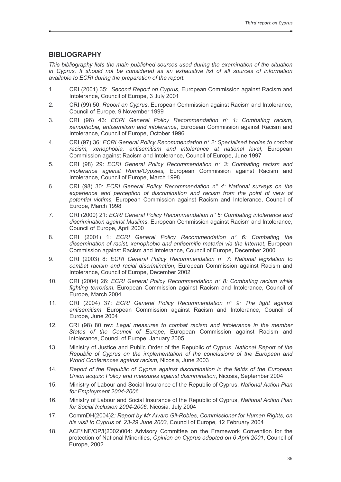#### **BIBLIOGRAPHY**

This bibliography lists the main published sources used during the examination of the situation in Cyprus. It should not be considered as an exhaustive list of all sources of information available to ECRI during the preparation of the report.

- $\mathbf{1}$ CRI (2001) 35: Second Report on Cyprus, European Commission against Racism and Intolerance, Council of Europe, 3 July 2001
- CRI (99) 50: Report on Cyprus, European Commission against Racism and Intolerance,  $\mathcal{P}$ Council of Europe, 9 November 1999
- CRI (96) 43: ECRI General Policy Recommendation n° 1: Combating racism, 3. xenophobia, antisemitism and intolerance. European Commission against Racism and Intolerance, Council of Europe, October 1996
- CRI (97) 36: ECRI General Policy Recommendation n° 2: Specialised bodies to combat  $\overline{4}$ . racism, xenophobia, antisemitism and intolerance at national level, European Commission against Racism and Intolerance, Council of Europe, June 1997
- 5. CRI (98) 29: ECRI General Policy Recommendation n° 3: Combating racism and intolerance against Roma/Gypsies, European Commission against Racism and Intolerance, Council of Europe, March 1998
- $6.$ CRI (98) 30: ECRI General Policy Recommendation n° 4: National surveys on the experience and perception of discrimination and racism from the point of view of potential victims, European Commission against Racism and Intolerance, Council of Europe, March 1998
- 7. CRI (2000) 21: ECRI General Policy Recommendation n° 5: Combating intolerance and discrimination against Muslims, European Commission against Racism and Intolerance, Council of Europe, April 2000
- CRI (2001) 1: ECRI General Policy Recommendation n° 6: Combating the 8. dissemination of racist, xenophobic and antisemitic material via the Internet, European Commission against Racism and Intolerance, Council of Europe, December 2000
- 9. CRI (2003) 8: ECRI General Policy Recommendation n° 7: National legislation to combat racism and racial discrimination, European Commission against Racism and Intolerance, Council of Europe, December 2002
- CRI (2004) 26: ECRI General Policy Recommendation n° 8: Combating racism while  $10<sup>1</sup>$ fighting terrorism, European Commission against Racism and Intolerance, Council of Europe. March 2004
- CRI (2004) 37: ECRI General Policy Recommendation n° 9: The fight against 11. antisemitism, European Commission against Racism and Intolerance, Council of Europe, June 2004
- $12.$ CRI (98) 80 rev: Legal measures to combat racism and intolerance in the member States of the Council of Europe, European Commission against Racism and Intolerance, Council of Europe, January 2005
- Ministry of Justice and Public Order of the Republic of Cyprus, National Report of the  $13.$ Republic of Cyprus on the implementation of the conclusions of the European and World Conferences against racism. Nicosia. June 2003
- Report of the Republic of Cyprus against discrimination in the fields of the European  $14.$ Union acquis: Policy and measures against discrimination, Nicosia, September 2004
- $15.$ Ministry of Labour and Social Insurance of the Republic of Cyprus, National Action Plan for Employment 2004-2006
- $16.$ Ministry of Labour and Social Insurance of the Republic of Cyprus, National Action Plan for Social Inclusion 2004-2006, Nicosia, July 2004
- CommDH(2004)2: Report by Mr Alvaro Gil-Robles, Commissioner for Human Rights, on 17. his visit to Cyprus of 23-29 June 2003, Council of Europe, 12 February 2004
- 18 ACF/INF/OP/I(2002)004: Advisory Committee on the Framework Convention for the protection of National Minorities, Opinion on Cyprus adopted on 6 April 2001, Council of Europe, 2002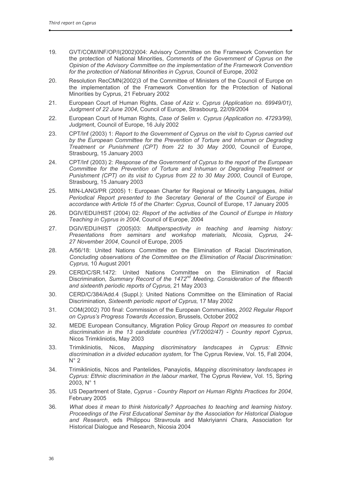- 19. GVT/COM/INF/OP/I(2002)004: Advisory Committee on the Framework Convention for the protection of National Minorities, Comments of the Government of Cyprus on the Opinion of the Advisory Committee on the implementation of the Framework Convention for the protection of National Minorities in Cyprus, Council of Europe, 2002
- Resolution RecCMN(2002)3 of the Committee of Ministers of the Council of Europe on  $20<sup>°</sup>$ the implementation of the Framework Convention for the Protection of National Minorities by Cyprus, 21 February 2002
- $21.$ European Court of Human Rights, Case of Aziz v. Cyprus (Application no. 69949/01), Judgment of 22 June 2004, Council of Europe, Strasbourg, 22/09/2004
- 22. European Court of Human Rights, Case of Selim v. Cyprus (Application no. 47293/99). Judgment, Council of Europe, 16 July 2002
- 23. CPT/Inf (2003) 1: Report to the Government of Cyprus on the visit to Cyprus carried out by the European Committee for the Prevention of Torture and Inhuman or Degrading Treatment or Punishment (CPT) from 22 to 30 May 2000, Council of Europe, Strasbourg, 15 January 2003
- CPT/Inf (2003) 2: Response of the Government of Cyprus to the report of the European 24. Committee for the Prevention of Torture and Inhuman or Degrading Treatment or Punishment (CPT) on its visit to Cyprus from 22 to 30 May 2000, Council of Europe, Strasbourg, 15 January 2003
- 25. MIN-LANG/PR (2005) 1: European Charter for Regional or Minority Languages, Initial Periodical Report presented to the Secretary General of the Council of Europe in accordance with Article 15 of the Charter: Cyprus, Council of Europe, 17 January 2005
- 26. DGIV/EDU/HIST (2004) 02: Report of the activities of the Council of Europe in History Teaching in Cyprus in 2004, Council of Europe, 2004
- DGIV/EDU/HIST (2005)03: Multiperspectivity in teaching and learning history: 27. Presentations from seminars and workshop materials, Nicosia, Cyprus, 24-27 November 2004, Council of Europe, 2005
- 28. A/56/18: United Nations Committee on the Elimination of Racial Discrimination. Concluding observations of the Committee on the Elimination of Racial Discrimination: Cyprus, 10 August 2001
- 29. CERD/C/SR.1472: United Nations Committee on the Elimination of Racial Discrimination, Summary Record of the 1472<sup>nd</sup> Meeting, Consideration of the fifteenth and sixteenth periodic reports of Cyprus, 21 May 2003
- CERD/C/384/Add.4 (Suppl.): United Nations Committee on the Elimination of Racial 30. Discrimination, Sixteenth periodic report of Cyprus, 17 May 2002
- COM(2002) 700 final: Commission of the European Communities, 2002 Regular Report 31. on Cyprus's Progress Towards Accession, Brussels, October 2002
- 32. MEDE European Consultancy, Migration Policy Group Report on measures to combat discrimination in the 13 candidate countries (VT/2002/47) - Country report Cyprus, Nicos Trimkliniotis, May 2003
- Mapping discriminatory landscapes in Cyprus: Ethnic 33. Trimikliniotis. Nicos. discrimination in a divided education system, for The Cyprus Review, Vol. 15, Fall 2004,  $N^{\circ} 2$
- 34. Trimikliniotis, Nicos and Pantelides, Panayiotis, Mapping discriminatory landscapes in Cyprus: Ethnic discrimination in the labour market, The Cyprus Review, Vol. 15, Spring 2003, N° 1
- 35. US Department of State, Cyprus - Country Report on Human Rights Practices for 2004, February 2005
- 36. What does it mean to think historically? Approaches to teaching and learning history. Proceedings of the First Educational Seminar by the Association for Historical Dialogue and Research, eds Philippou Stravroula and Makriyianni Chara, Association for Historical Dialogue and Research, Nicosia 2004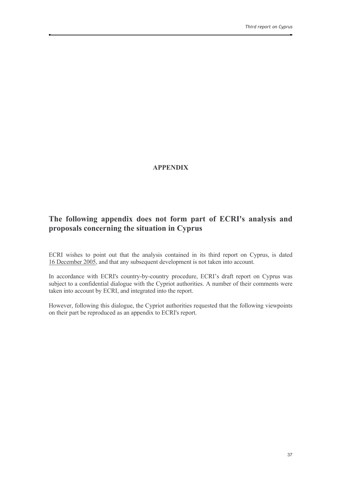## **APPENDIX**

# The following appendix does not form part of ECRI's analysis and proposals concerning the situation in Cyprus

ECRI wishes to point out that the analysis contained in its third report on Cyprus, is dated 16 December 2005, and that any subsequent development is not taken into account.

In accordance with ECRI's country-by-country procedure, ECRI's draft report on Cyprus was subject to a confidential dialogue with the Cypriot authorities. A number of their comments were taken into account by ECRI, and integrated into the report.

However, following this dialogue, the Cypriot authorities requested that the following viewpoints on their part be reproduced as an appendix to ECRI's report.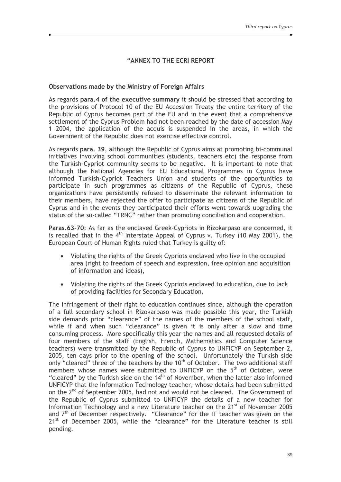## "ANNEX TO THE ECRI REPORT

## Observations made by the Ministry of Foreign Affairs

As regards para.4 of the executive summary it should be stressed that according to the provisions of Protocol 10 of the EU Accession Treaty the entire territory of the Republic of Cyprus becomes part of the EU and in the event that a comprehensive settlement of the Cyprus Problem had not been reached by the date of accession May 1 2004, the application of the acquis is suspended in the areas, in which the Government of the Republic does not exercise effective control.

As regards para, 39, although the Republic of Cyprus aims at promoting bi-communal initiatives involving school communities (students, teachers etc) the response from the Turkish-Cypriot community seems to be negative. It is important to note that although the National Agencies for EU Educational Programmes in Cyprus have informed Turkish-Cypriot Teachers Union and students of the opportunities to participate in such programmes as citizens of the Republic of Cyprus, these organizations have persistently refused to disseminate the relevant information to their members, have rejected the offer to participate as citizens of the Republic of Cyprus and in the events they participated their efforts went towards upgrading the status of the so-called "TRNC" rather than promoting conciliation and cooperation.

Paras.63-70: As far as the enclaved Greek-Cypriots in Rizokarpaso are concerned, it is recalled that in the  $4<sup>th</sup>$  Interstate Appeal of Cyprus v. Turkey (10 May 2001), the European Court of Human Rights ruled that Turkey is guilty of:

- Violating the rights of the Greek Cypriots enclaved who live in the occupied area (right to freedom of speech and expression, free opinion and acquisition of information and ideas),
- Violating the rights of the Greek Cypriots enclaved to education, due to lack of providing facilities for Secondary Education.

The infringement of their right to education continues since, although the operation of a full secondary school in Rizokarpaso was made possible this year, the Turkish side demands prior "clearance" of the names of the members of the school staff, while if and when such "clearance" is given it is only after a slow and time consuming process. More specifically this year the names and all requested details of four members of the staff (English, French, Mathematics and Computer Science teachers) were transmitted by the Republic of Cyprus to UNFICYP on September 2, 2005, ten days prior to the opening of the school. Unfortunately the Turkish side only "cleared" three of the teachers by the 10<sup>th</sup> of October. The two additional staff members whose names were submitted to UNFICYP on the 5<sup>th</sup> of October, were "cleared" by the Turkish side on the 14<sup>th</sup> of November, when the latter also informed UNFICYP that the Information Technology teacher, whose details had been submitted on the 2<sup>nd</sup> of September 2005, had not and would not be cleared. The Government of the Republic of Cyprus submitted to UNFICYP the details of a new teacher for Information Technology and a new Literature teacher on the 21<sup>st</sup> of November 2005 and 7<sup>th</sup> of December respectively. "Clearance" for the IT teacher was given on the 21<sup>st</sup> of December 2005, while the "clearance" for the Literature teacher is still pending.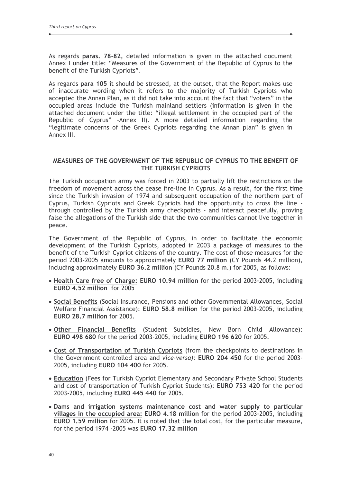As regards paras. 78-82, detailed information is given in the attached document Annex I under title: "Measures of the Government of the Republic of Cyprus to the benefit of the Turkish Cypriots".

As regards para 105 it should be stressed, at the outset, that the Report makes use of inaccurate wording when it refers to the majority of Turkish Cypriots who accepted the Annan Plan, as it did not take into account the fact that "voters" in the occupied areas include the Turkish mainland settlers (information is given in the attached document under the title: "illegal settlement in the occupied part of the Republic of Cyprus" - Annex II). A more detailed information regarding the "legitimate concerns of the Greek Cypriots regarding the Annan plan" is given in Annex III.

## MEASURES OF THE GOVERNMENT OF THE REPUBLIC OF CYPRUS TO THE BENEFIT OF THE TURKISH CYPRIOTS

The Turkish occupation army was forced in 2003 to partially lift the restrictions on the freedom of movement across the cease fire-line in Cyprus. As a result, for the first time since the Turkish invasion of 1974 and subsequent occupation of the northern part of Cyprus, Turkish Cypriots and Greek Cypriots had the opportunity to cross the line through controlled by the Turkish army checkpoints - and interact peacefully, proving false the allegations of the Turkish side that the two communities cannot live together in peace.

The Government of the Republic of Cyprus, in order to facilitate the economic development of the Turkish Cypriots, adopted in 2003 a package of measures to the benefit of the Turkish Cypriot citizens of the country. The cost of those measures for the period 2003-2005 amounts to approximately EURO 77 million (CY Pounds 44.2 million). including approximately EURO 36.2 million (CY Pounds 20.8 m.) for 2005, as follows:

- Health Care free of Charge: EURO 10.94 million for the period 2003-2005, including EURO 4.52 million for 2005
- Social Benefits (Social Insurance, Pensions and other Governmental Allowances, Social Welfare Financial Assistance): EURO 58.8 million for the period 2003-2005, including EURO 28.7 million for 2005.
- Other Financial Benefits (Student Subsidies, New Born Child Allowance): EURO 498 680 for the period 2003-2005, including EURO 196 620 for 2005.
- Cost of Transportation of Turkish Cypriots (from the checkpoints to destinations in the Government controlled area and vice-versa): EURO 204 450 for the period 2003-2005, including EURO 104 400 for 2005.
- Education (Fees for Turkish Cypriot Elementary and Secondary Private School Students and cost of transportation of Turkish Cypriot Students): EURO 753 420 for the period 2003-2005, including EURO 445 440 for 2005.
- . Dams and irrigation systems maintenance cost and water supply to particular villages in the occupied area: EURO 4.18 million for the period 2003-2005, including EURO 1.59 million for 2005. It is noted that the total cost, for the particular measure, for the period 1974 -2005 was EURO 17.32 million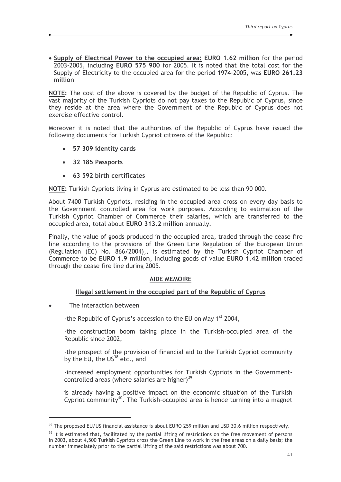• Supply of Electrical Power to the occupied area: EURO 1.62 million for the period 2003-2005, including EURO 575 900 for 2005. It is noted that the total cost for the Supply of Electricity to the occupied area for the period 1974-2005, was EURO 261.23 million

NOTE: The cost of the above is covered by the budget of the Republic of Cyprus. The vast majority of the Turkish Cypriots do not pay taxes to the Republic of Cyprus, since they reside at the area where the Government of the Republic of Cyprus does not exercise effective control.

Moreover it is noted that the authorities of the Republic of Cyprus have issued the following documents for Turkish Cypriot citizens of the Republic:

- 57 309 identity cards
- 32 185 Passports
- 63 592 birth certificates

NOTE: Turkish Cypriots living in Cyprus are estimated to be less than 90 000.

About 7400 Turkish Cypriots, residing in the occupied area cross on every day basis to the Government controlled area for work purposes. According to estimation of the Turkish Cypriot Chamber of Commerce their salaries, which are transferred to the occupied area, total about EURO 313.2 million annually.

Finally, the value of goods produced in the occupied area, traded through the cease fire line according to the provisions of the Green Line Regulation of the European Union (Regulation (EC) No. 866/2004),, is estimated by the Turkish Cypriot Chamber of Commerce to be EURO 1.9 million, including goods of value EURO 1.42 million traded through the cease fire line during 2005.

## **AIDE MEMOIRE**

## Illegal settlement in the occupied part of the Republic of Cyprus

The interaction between  $\blacksquare$ 

-the Republic of Cyprus's accession to the EU on May 1<sup>st</sup> 2004,

-the construction boom taking place in the Turkish-occupied area of the Republic since 2002,

-the prospect of the provision of financial aid to the Turkish Cypriot community by the EU, the US<sup>38</sup> etc., and

-increased employment opportunities for Turkish Cypriots in the Governmentcontrolled areas (where salaries are higher)<sup>39</sup>

is already having a positive impact on the economic situation of the Turkish Cypriot community<sup>40</sup>. The Turkish-occupied area is hence turning into a magnet

<sup>&</sup>lt;sup>38</sup> The proposed EU/US financial assistance is about EURO 259 million and USD 30.6 million respectively.

 $39$  It is estimated that, facilitated by the partial lifting of restrictions on the free movement of persons in 2003, about 4,500 Turkish Cypriots cross the Green Line to work in the free areas on a daily basis; the number immediately prior to the partial lifting of the said restrictions was about 700.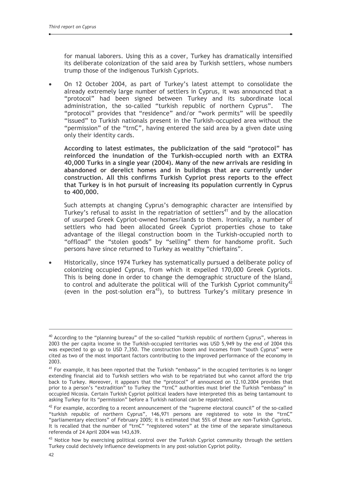for manual laborers. Using this as a cover, Turkey has dramatically intensified its deliberate colonization of the said area by Turkish settlers, whose numbers trump those of the indigenous Turkish Cypriots.

On 12 October 2004, as part of Turkey's latest attempt to consolidate the already extremely large number of settlers in Cyprus, it was announced that a "protocol" had been signed between Turkey and its subordinate local administration, the so-called "turkish republic of northern Cyprus". The "protocol" provides that "residence" and/or "work permits" will be speedily "issued" to Turkish nationals present in the Turkish-occupied area without the "permission" of the "trnC", having entered the said area by a given date using only their identity cards.

According to latest estimates, the publicization of the said "protocol" has reinforced the inundation of the Turkish-occupied north with an EXTRA 40,000 Turks in a single year (2004). Many of the new arrivals are residing in abandoned or derelict homes and in buildings that are currently under construction. All this confirms Turkish Cypriot press reports to the effect that Turkey is in hot pursuit of increasing its population currently in Cyprus to 400,000.

Such attempts at changing Cyprus's demographic character are intensified by Turkey's refusal to assist in the repatriation of settlers<sup>41</sup> and by the allocation of usurped Greek Cypriot-owned homes/lands to them. Ironically, a number of settlers who had been allocated Greek Cypriot properties chose to take advantage of the illegal construction boom in the Turkish-occupied north to "offload" the "stolen goods" by "selling" them for handsome profit. Such persons have since returned to Turkey as wealthy "chieftains".

Historically, since 1974 Turkey has systematically pursued a deliberate policy of  $\blacksquare$ colonizing occupied Cyprus, from which it expelled 170,000 Greek Cypriots. This is being done in order to change the demographic structure of the Island, to control and adulterate the political will of the Turkish Cypriot community<sup>42</sup> (even in the post-solution  $era^{43}$ ), to buttress Turkey's military presence in

 $40$  According to the "planning bureau" of the so-called "turkish republic of northern Cyprus", whereas in 2003 the per capita income in the Turkish-occupied territories was USD 5,949 by the end of 2004 this was expected to go up to USD 7,350. The construction boom and incomes from "south Cyprus" were cited as two of the most important factors contributing to the improved performance of the economy in 2003.

 $41$  For example, it has been reported that the Turkish "embassy" in the occupied territories is no longer extending financial aid to Turkish settlers who wish to be repatriated but who cannot afford the trip back to Turkey. Moreover, it appears that the "protocol" of announced on 12.10.2004 provides that<br>prior to a person's "extradition" to Turkey the "trnC" authorities must brief the Turkish "embassy" in occupied Nicosia. Certain Turkish Cypriot political leaders have interpreted this as being tantamount to asking Turkey for its "permission" before a Turkish national can be repatriated.

 $42$  For example, according to a recent announcement of the "supreme electoral council" of the so-called "turkish republic of northern Cyprus", 146,971 persons are registered to vote in the "trnC" "parliamentary elections" of February 2005; it is estimated that 55% of those are non-Turkish Cypriots. It is recalled that the number of "trnC" "registered voters" at the time of the separate simultaneous referenda of 24 April 2004 was 143,639.

<sup>&</sup>lt;sup>43</sup> Notice how by exercising political control over the Turkish Cypriot community through the settlers Turkey could decisively influence developments in any post-solution Cypriot polity.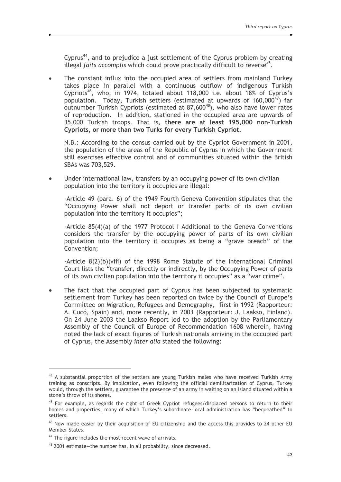Cyprus<sup>44</sup>, and to prejudice a just settlement of the Cyprus problem by creating illegal *faits accomplis* which could prove practically difficult to reverse<sup>45</sup>.

The constant influx into the occupied area of settlers from mainland Turkey takes place in parallel with a continuous outflow of indigenous Turkish Cypriots<sup>46</sup>, who, in 1974, totaled about 118,000 i.e. about 18% of Cyprus's population. Today, Turkish settlers (estimated at upwards of  $160,000^{47}$ ) far outnumber Turkish Cypriots (estimated at 87,600<sup>48</sup>), who also have lower rates of reproduction. In addition, stationed in the occupied area are upwards of 35,000 Turkish troops. That is, there are at least 195,000 non-Turkish Cypriots, or more than two Turks for every Turkish Cypriot.

N.B.: According to the census carried out by the Cypriot Government in 2001. the population of the areas of the Republic of Cyprus in which the Government still exercises effective control and of communities situated within the British SBAs was 703,529.

Under international law, transfers by an occupying power of its own civilian population into the territory it occupies are illegal:

-Article 49 (para. 6) of the 1949 Fourth Geneva Convention stipulates that the "Occupying Power shall not deport or transfer parts of its own civilian population into the territory it occupies";

-Article  $85(4)(a)$  of the 1977 Protocol I Additional to the Geneva Conventions considers the transfer by the occupying power of parts of its own civilian population into the territory it occupies as being a "grave breach" of the Convention:

-Article 8(2)(b)(viii) of the 1998 Rome Statute of the International Criminal Court lists the "transfer, directly or indirectly, by the Occupying Power of parts of its own civilian population into the territory it occupies" as a "war crime".

The fact that the occupied part of Cyprus has been subjected to systematic  $\bullet$ settlement from Turkey has been reported on twice by the Council of Europe's Committee on Migration, Refugees and Demography, first in 1992 (Rapporteur: A. Cucó, Spain) and, more recently, in 2003 (Rapporteur: J. Laakso, Finland). On 24 June 2003 the Laakso Report led to the adoption by the Parliamentary Assembly of the Council of Europe of Recommendation 1608 wherein, having noted the lack of exact figures of Turkish nationals arriving in the occupied part of Cyprus, the Assembly inter alia stated the following:

<sup>&</sup>lt;sup>44</sup> A substantial proportion of the settlers are young Turkish males who have received Turkish Army training as conscripts. By implication, even following the official demilitarization of Cyprus, Turkey would, through the settlers, guarantee the presence of an army in waiting on an island situated within a stone's throw of its shores.

<sup>&</sup>lt;sup>45</sup> For example, as regards the right of Greek Cypriot refugees/displaced persons to return to their homes and properties, many of which Turkey's subordinate local administration has "bequeathed" to settlers.

<sup>&</sup>lt;sup>46</sup> Now made easier by their acquisition of EU citizenship and the access this provides to 24 other EU Member States.

<sup>&</sup>lt;sup>47</sup> The figure includes the most recent wave of arrivals.

 $48$  2001 estimate-the number has, in all probability, since decreased.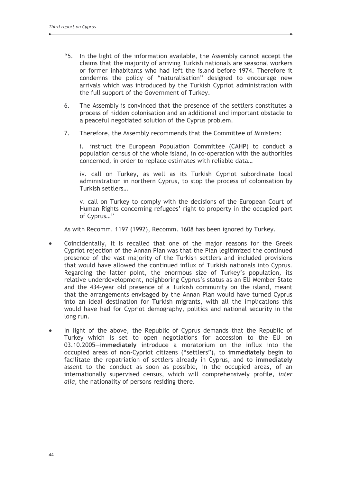- "5. In the light of the information available, the Assembly cannot accept the claims that the majority of arriving Turkish nationals are seasonal workers or former inhabitants who had left the island before 1974. Therefore it condemns the policy of "naturalisation" designed to encourage new arrivals which was introduced by the Turkish Cypriot administration with the full support of the Government of Turkey.
- $6.$ The Assembly is convinced that the presence of the settlers constitutes a process of hidden colonisation and an additional and important obstacle to a peaceful negotiated solution of the Cyprus problem.
- 7. Therefore, the Assembly recommends that the Committee of Ministers:

i. instruct the European Population Committee (CAHP) to conduct a population census of the whole island, in co-operation with the authorities concerned, in order to replace estimates with reliable data...

iv. call on Turkey, as well as its Turkish Cypriot subordinate local administration in northern Cyprus, to stop the process of colonisation by Turkish settlers...

v. call on Turkey to comply with the decisions of the European Court of Human Rights concerning refugees' right to property in the occupied part of Cyprus..."

As with Recomm, 1197 (1992), Recomm, 1608 has been jgnored by Turkey.

- Coincidentally, it is recalled that one of the major reasons for the Greek  $\bullet$ Cypriot rejection of the Annan Plan was that the Plan legitimized the continued presence of the vast majority of the Turkish settlers and included provisions that would have allowed the continued influx of Turkish nationals into Cyprus. Regarding the latter point, the enormous size of Turkey's population, its relative underdevelopment, neighboring Cyprus's status as an EU Member State and the 434-year old presence of a Turkish community on the island, meant that the arrangements envisaged by the Annan Plan would have turned Cyprus into an ideal destination for Turkish migrants, with all the implications this would have had for Cypriot demography, politics and national security in the long run.
- In light of the above, the Republic of Cyprus demands that the Republic of  $\bullet$ Turkey-which is set to open negotiations for accession to the EU on 03.10.2005-immediately introduce a moratorium on the influx into the occupied areas of non-Cypriot citizens ("settlers"), to immediately begin to facilitate the repatriation of settlers already in Cyprus, and to immediately assent to the conduct as soon as possible, in the occupied areas, of an internationally supervised census, which will comprehensively profile, inter *alia*, the nationality of persons residing there.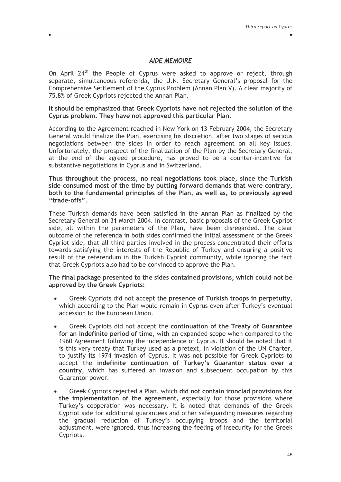### **AIDE MEMOIRE**

On April 24<sup>th</sup> the People of Cyprus were asked to approve or reject, through separate, simultaneous referenda, the U.N. Secretary General's proposal for the Comprehensive Settlement of the Cyprus Problem (Annan Plan V). A clear majority of 75.8% of Greek Cypriots rejected the Annan Plan.

#### It should be emphasized that Greek Cypriots have not rejected the solution of the Cyprus problem. They have not approved this particular Plan.

According to the Agreement reached in New York on 13 February 2004, the Secretary General would finalize the Plan, exercising his discretion, after two stages of serious negotiations between the sides in order to reach agreement on all key issues. Unfortunately, the prospect of the finalization of the Plan by the Secretary General, at the end of the agreed procedure, has proved to be a counter-incentive for substantive negotiations in Cyprus and in Switzerland.

Thus throughout the process, no real negotiations took place, since the Turkish side consumed most of the time by putting forward demands that were contrary, both to the fundamental principles of the Plan, as well as, to previously agreed "trade-offs"

These Turkish demands have been satisfied in the Annan Plan as finalized by the Secretary General on 31 March 2004. In contrast, basic proposals of the Greek Cypriot side, all within the parameters of the Plan, have been disregarded. The clear outcome of the referenda in both sides confirmed the initial assessment of the Greek Cypriot side, that all third parties involved in the process concentrated their efforts towards satisfying the interests of the Republic of Turkey and ensuring a positive result of the referendum in the Turkish Cypriot community, while ignoring the fact that Greek Cypriots also had to be convinced to approve the Plan.

#### The final package presented to the sides contained provisions, which could not be approved by the Greek Cypriots:

- Greek Cypriots did not accept the presence of Turkish troops in perpetuity, which according to the Plan would remain in Cyprus even after Turkey's eventual accession to the European Union.
- Greek Cypriots did not accept the continuation of the Treaty of Guarantee for an indefinite period of time, with an expanded scope when compared to the 1960 Agreement following the independence of Cyprus. It should be noted that it is this very treaty that Turkey used as a pretext, in violation of the UN Charter, to justify its 1974 invasion of Cyprus. It was not possible for Greek Cypriots to accept the indefinite continuation of Turkey's Guarantor status over a country, which has suffered an invasion and subsequent occupation by this Guarantor power.
- Greek Cypriots rejected a Plan, which did not contain ironclad provisions for the implementation of the agreement, especially for those provisions where Turkey's cooperation was necessary. It is noted that demands of the Greek Cypriot side for additional guarantees and other safeguarding measures regarding the gradual reduction of Turkey's occupying troops and the territorial adjustment, were ignored, thus increasing the feeling of insecurity for the Greek Cypriots.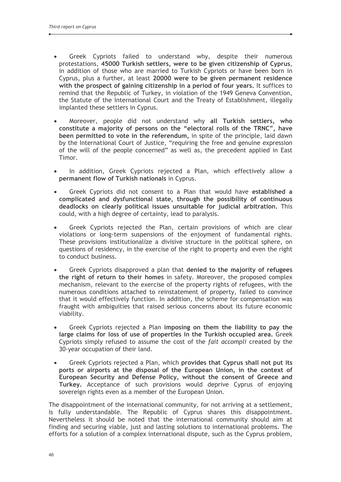- Greek Cypriots failed to understand why, despite their numerous protestations, 45000 Turkish settlers, were to be given citizenship of Cyprus, in addition of those who are married to Turkish Cypriots or have been born in Cyprus, plus a further, at least 20000 were to be given permanent residence with the prospect of gaining citizenship in a period of four years. It suffices to remind that the Republic of Turkey, in violation of the 1949 Geneva Convention, the Statute of the International Court and the Treaty of Establishment, illegally implanted these settlers in Cyprus.
- Moreover, people did not understand why all Turkish settlers, who constitute a majority of persons on the "electoral rolls of the TRNC", have been permitted to vote in the referendum, in spite of the principle, laid dawn by the International Court of Justice, "requiring the free and genuine expression of the will of the people concerned" as well as, the precedent applied in East Timor.
- In addition, Greek Cypriots rejected a Plan, which effectively allow a permanent flow of Turkish nationals in Cyprus.
- Greek Cypriots did not consent to a Plan that would have established a complicated and dysfunctional state, through the possibility of continuous deadlocks on clearly political issues unsuitable for judicial arbitration. This could, with a high degree of certainty, lead to paralysis.
- Greek Cypriots rejected the Plan, certain provisions of which are clear violations or long-term suspensions of the enjoyment of fundamental rights. These provisions institutionalize a divisive structure in the political sphere, on questions of residency, in the exercise of the right to property and even the right to conduct business.
- Greek Cypriots disapproved a plan that denied to the majority of refugees the right of return to their homes in safety. Moreover, the proposed complex mechanism, relevant to the exercise of the property rights of refugees, with the numerous conditions attached to reinstatement of property, failed to convince that it would effectively function. In addition, the scheme for compensation was fraught with ambiguities that raised serious concerns about its future economic viability.
- Greek Cypriots rejected a Plan imposing on them the liability to pay the large claims for loss of use of properties in the Turkish occupied area. Greek Cypriots simply refused to assume the cost of the fait accompli created by the 30-year occupation of their land.
- Greek Cypriots rejected a Plan, which provides that Cyprus shall not put its ports or airports at the disposal of the European Union, in the context of European Security and Defense Policy, without the consent of Greece and Turkey. Acceptance of such provisions would deprive Cyprus of enjoying sovereign rights even as a member of the European Union.

The disappointment of the international community, for not arriving at a settlement, is fully understandable. The Republic of Cyprus shares this disappointment. Nevertheless it should be noted that the international community should aim at finding and securing viable, just and lasting solutions to international problems. The efforts for a solution of a complex international dispute, such as the Cyprus problem,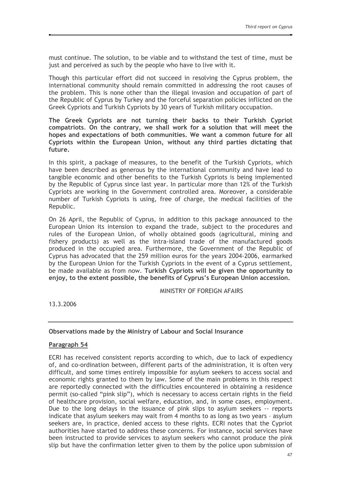must continue. The solution, to be viable and to withstand the test of time, must be just and perceived as such by the people who have to live with it.

Though this particular effort did not succeed in resolving the Cvprus problem. the international community should remain committed in addressing the root causes of the problem. This is none other than the illegal invasion and occupation of part of the Republic of Cyprus by Turkey and the forceful separation policies inflicted on the Greek Cypriots and Turkish Cypriots by 30 years of Turkish military occupation.

The Greek Cypriots are not turning their backs to their Turkish Cypriot compatriots. On the contrary, we shall work for a solution that will meet the hopes and expectations of both communities. We want a common future for all Cypriots within the European Union, without any third parties dictating that future.

In this spirit, a package of measures, to the benefit of the Turkish Cypriots, which have been described as generous by the international community and have lead to tangible economic and other benefits to the Turkish Cypriots is being implemented by the Republic of Cyprus since last year. In particular more than 12% of the Turkish Cypriots are working in the Government controlled area. Moreover, a considerable number of Turkish Cypriots is using, free of charge, the medical facilities of the Republic.

On 26 April, the Republic of Cyprus, in addition to this package announced to the European Union its intension to expand the trade, subject to the procedures and rules of the European Union, of wholly obtained goods (agricultural, mining and fishery products) as well as the intra-island trade of the manufactured goods produced in the occupied area. Furthermore, the Government of the Republic of Cyprus has advocated that the 259 million euros for the years 2004-2006, earmarked by the European Union for the Turkish Cypriots in the event of a Cyprus settlement, be made available as from now. Turkish Cypriots will be given the opportunity to enjoy, to the extent possible, the benefits of Cyprus's European Union accession.

MINISTRY OF FOREIGN AFAIRS

13.3.2006

## Observations made by the Ministry of Labour and Social Insurance

## Paragraph 54

ECRI has received consistent reports according to which, due to lack of expediency of, and co-ordination between, different parts of the administration, it is often very difficult, and some times entirely impossible for asylum seekers to access social and economic rights granted to them by law. Some of the main problems in this respect are reportedly connected with the difficulties encountered in obtaining a residence permit (so-called "pink slip"), which is necessary to access certain rights in the field of healthcare provision, social welfare, education, and, in some cases, employment, Due to the long delays in the issuance of pink slips to asylum seekers -- reports indicate that asylum seekers may wait from 4 months to as long as two years - asylum seekers are, in practice, denied access to these rights. ECRI notes that the Cypriot authorities have started to address these concerns. For instance, social services have been instructed to provide services to asylum seekers who cannot produce the pink slip but have the confirmation letter given to them by the police upon submission of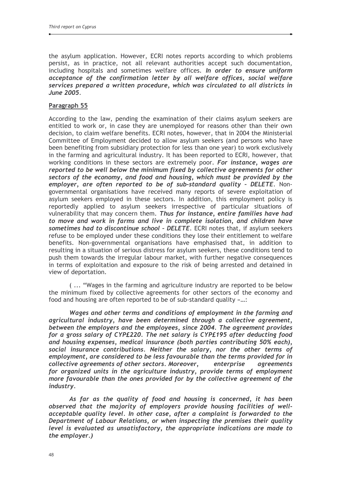the asylum application. However, ECRI notes reports according to which problems persist, as in practice, not all relevant authorities accept such documentation, including hospitals and sometimes welfare offices. In order to ensure uniform acceptance of the confirmation letter by all welfare offices, social welfare services prepared a written procedure, which was circulated to all districts in June 2005.

## Paragraph 55

According to the law, pending the examination of their claims asylum seekers are entitled to work or, in case they are unemployed for reasons other than their own decision, to claim welfare benefits. ECRI notes, however, that in 2004 the Ministerial Committee of Employment decided to allow asylum seekers (and persons who have been benefiting from subsidiary protection for less than one year) to work exclusively in the farming and agricultural industry. It has been reported to ECRI, however, that working conditions in these sectors are extremely poor. For instance, wages are reported to be well below the minimum fixed by collective agreements for other sectors of the economy, and food and housing, which must be provided by the employer, are often reported to be of sub-standard quality - DELETE. Nongovernmental organisations have received many reports of severe exploitation of asylum seekers employed in these sectors. In addition, this employment policy is reportedly applied to asylum seekers irrespective of particular situations of vulnerability that may concern them. Thus for instance, entire families have had to move and work in farms and live in complete isolation, and children have sometimes had to discontinue school - DELETE. ECRI notes that, if asylum seekers refuse to be employed under these conditions they lose their entitlement to welfare benefits. Non-governmental organisations have emphasised that, in addition to resulting in a situation of serious distress for asylum seekers, these conditions tend to push them towards the irregular labour market, with further negative consequences in terms of exploitation and exposure to the risk of being arrested and detained in view of deportation.

(... "Wages in the farming and agriculture industry are reported to be below the minimum fixed by collective agreements for other sectors of the economy and food and housing are often reported to be of sub-standard quality »...:

Wages and other terms and conditions of employment in the farming and agricultural industry, have been determined through a collective agreement, between the employers and the employees, since 2004. The agreement provides for a gross salary of CYP£220. The net salary is CYP£195 after deducting food and housing expenses, medical insurance (both parties contributing 50% each), social insurance contributions. Neither the salary, nor the other terms of employment, are considered to be less favourable than the terms provided for in collective agreements of other sectors. Moreover, enterprise *agreements* for organized units in the agriculture industry, provide terms of employment more favourable than the ones provided for by the collective agreement of the industry.

As far as the quality of food and housing is concerned, it has been observed that the majority of employers provide housing facilities of wellacceptable quality level. In other case, after a complaint is forwarded to the Department of Labour Relations, or when inspecting the premises their quality level is evaluated as unsatisfactory, the appropriate indications are made to the employer.)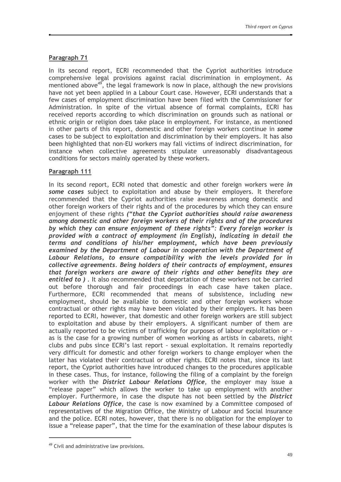## Paragraph 71

In its second report, ECRI recommended that the Cypriot authorities introduce comprehensive legal provisions against racial discrimination in employment. As mentioned above<sup>49</sup>, the legal framework is now in place, although the new provisions have not yet been applied in a Labour Court case. However, ECRI understands that a few cases of employment discrimination have been filed with the Commissioner for Administration. In spite of the virtual absence of formal complaints, ECRI has received reports according to which discrimination on grounds such as national or ethnic origin or religion does take place in employment. For instance, as mentioned in other parts of this report, domestic and other foreign workers continue in some cases to be subject to exploitation and discrimination by their employers. It has also been highlighted that non-EU workers may fall victims of indirect discrimination, for instance when collective agreements stipulate unreasonably disadvantageous conditions for sectors mainly operated by these workers.

## Paragraph 111

In its second report, ECRI noted that domestic and other foreign workers were in some cases subject to exploitation and abuse by their employers. It therefore recommended that the Cypriot authorities raise awareness among domestic and other foreign workers of their rights and of the procedures by which they can ensure enjoyment of these rights ("that the Cypriot authorities should raise awareness among domestic and other foreign workers of their rights and of the procedures by which they can ensure enjoyment of these rights": Every foreign worker is provided with a contract of employment (in English), indicating in detail the terms and conditions of his/her employment, which have been previously examined by the Department of Labour in cooperation with the Department of Labour Relations, to ensure compatibility with the levels provided for in collective agreements. Being holders of their contracts of employment, ensures that foreign workers are aware of their rights and other benefits they are entitled to ). It also recommended that deportation of these workers not be carried out before thorough and fair proceedings in each case have taken place. Furthermore, ECRI recommended that means of subsistence, including new employment, should be available to domestic and other foreign workers whose contractual or other rights may have been violated by their employers. It has been reported to ECRI, however, that domestic and other foreign workers are still subject to exploitation and abuse by their employers. A significant number of them are actually reported to be victims of trafficking for purposes of labour exploitation or as is the case for a growing number of women working as artists in cabarets, night clubs and pubs since ECRI's last report - sexual exploitation. It remains reportedly very difficult for domestic and other foreign workers to change employer when the latter has violated their contractual or other rights. ECRI notes that, since its last report, the Cypriot authorities have introduced changes to the procedures applicable in these cases. Thus, for instance, following the filing of a complaint by the foreign worker with the District Labour Relations Office, the employer may issue a "release paper" which allows the worker to take up employment with another employer. Furthermore, in case the dispute has not been settled by the District Labour Relations Office, the case is now examined by a Committee composed of representatives of the Migration Office, the Ministry of Labour and Social Insurance and the police. ECRI notes, however, that there is no obligation for the employer to issue a "release paper", that the time for the examination of these labour disputes is

<sup>&</sup>lt;sup>49</sup> Civil and administrative law provisions.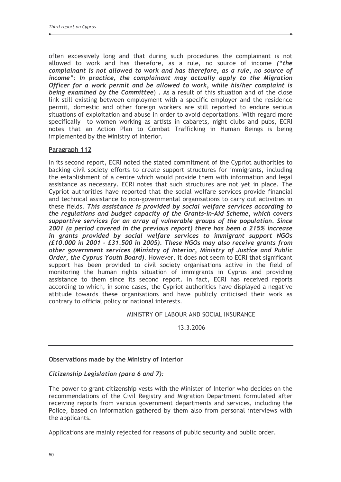often excessively long and that during such procedures the complainant is not allowed to work and has therefore, as a rule, no source of income ("the complainant is not allowed to work and has therefore, as a rule, no source of income": In practice, the complainant may actually apply to the Migration Officer for a work permit and be allowed to work, while his/her complaint is being examined by the Committee). As a result of this situation and of the close link still existing between employment with a specific employer and the residence permit, domestic and other foreign workers are still reported to endure serious situations of exploitation and abuse in order to avoid deportations. With regard more specifically to women working as artists in cabarets, night clubs and pubs, ECRI notes that an Action Plan to Combat Trafficking in Human Beings is being implemented by the Ministry of Interior.

## Paragraph 112

In its second report, ECRI noted the stated commitment of the Cypriot authorities to backing civil society efforts to create support structures for immigrants, including the establishment of a centre which would provide them with information and legal assistance as necessary. ECRI notes that such structures are not yet in place. The Cypriot authorities have reported that the social welfare services provide financial and technical assistance to non-governmental organisations to carry out activities in these fields. This assistance is provided by social welfare services according to the regulations and budget capacity of the Grants-in-Aid Scheme, which covers supportive services for an array of vulnerable groups of the population. Since 2001 (a period covered in the previous report) there has been a 215% increase in grants provided by social welfare services to immigrant support NGOs (£10.000 in 2001 - £31.500 in 2005). These NGOs may also receive grants from other government services (Ministry of Interior, Ministry of Justice and Public Order, the Cyprus Youth Board). However, it does not seem to ECRI that significant support has been provided to civil society organisations active in the field of monitoring the human rights situation of immigrants in Cyprus and providing assistance to them since its second report. In fact, ECRI has received reports according to which, in some cases, the Cypriot authorities have displayed a negative attitude towards these organisations and have publicly criticised their work as contrary to official policy or national interests.

#### MINISTRY OF LABOUR AND SOCIAL INSURANCE

13.3.2006

#### Observations made by the Ministry of Interior

#### Citizenship Legislation (para 6 and 7):

The power to grant citizenship vests with the Minister of Interior who decides on the recommendations of the Civil Registry and Migration Department formulated after receiving reports from various government departments and services, including the Police, based on information gathered by them also from personal interviews with the applicants.

Applications are mainly rejected for reasons of public security and public order.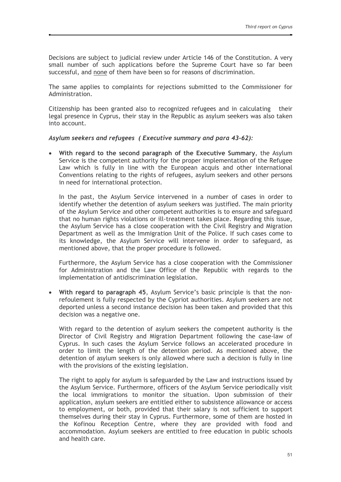Decisions are subject to judicial review under Article 146 of the Constitution. A very small number of such applications before the Supreme Court have so far been successful, and none of them have been so for reasons of discrimination.

The same applies to complaints for rejections submitted to the Commissioner for Administration.

Citizenship has been granted also to recognized refugees and in calculating their legal presence in Cyprus, their stay in the Republic as asylum seekers was also taken into account.

#### Asylum seekers and refugees (Executive summary and para 43-62):

With regard to the second paragraph of the Executive Summary, the Asylum Service is the competent authority for the proper implementation of the Refugee Law which is fully in line with the European acquis and other international Conventions relating to the rights of refugees, asylum seekers and other persons in need for international protection.

In the past, the Asylum Service intervened in a number of cases in order to identify whether the detention of asylum seekers was justified. The main priority of the Asylum Service and other competent authorities is to ensure and safeguard that no human rights violations or ill-treatment takes place. Regarding this issue, the Asylum Service has a close cooperation with the Civil Registry and Migration Department as well as the Immigration Unit of the Police. If such cases come to its knowledge, the Asylum Service will intervene in order to safeguard, as mentioned above, that the proper procedure is followed.

Furthermore, the Asylum Service has a close cooperation with the Commissioner for Administration and the Law Office of the Republic with regards to the implementation of antidiscrimination legislation.

With regard to paragraph 45, Asylum Service's basic principle is that the non- $\bullet$ refoulement is fully respected by the Cypriot authorities. Asylum seekers are not deported unless a second instance decision has been taken and provided that this decision was a negative one.

With regard to the detention of asylum seekers the competent authority is the Director of Civil Registry and Migration Department following the case-law of Cyprus. In such cases the Asylum Service follows an accelerated procedure in order to limit the length of the detention period. As mentioned above, the detention of asylum seekers is only allowed where such a decision is fully in line with the provisions of the existing legislation.

The right to apply for asylum is safeguarded by the Law and instructions issued by the Asylum Service. Furthermore, officers of the Asylum Service periodically visit the local immigrations to monitor the situation. Upon submission of their application, asylum seekers are entitled either to subsistence allowance or access to employment, or both, provided that their salary is not sufficient to support themselves during their stay in Cyprus. Furthermore, some of them are hosted in the Kofinou Reception Centre, where they are provided with food and accommodation. Asylum seekers are entitled to free education in public schools and health care.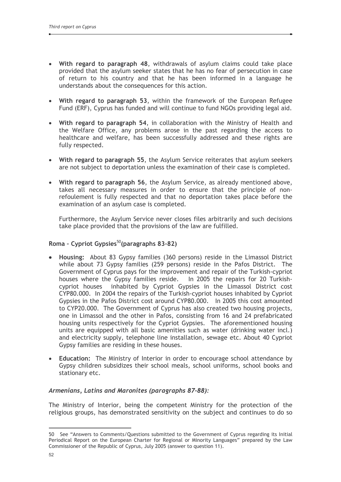- With regard to paragraph 48, withdrawals of asylum claims could take place provided that the asylum seeker states that he has no fear of persecution in case of return to his country and that he has been informed in a language he understands about the consequences for this action.
- With regard to paragraph 53, within the framework of the European Refugee Fund (ERF), Cyprus has funded and will continue to fund NGOs providing legal aid.
- With regard to paragraph 54, in collaboration with the Ministry of Health and the Welfare Office, any problems arose in the past regarding the access to healthcare and welfare, has been successfully addressed and these rights are fully respected.
- With regard to paragraph 55, the Asylum Service reiterates that asylum seekers are not subject to deportation unless the examination of their case is completed.
- With regard to paragraph 56, the Asylum Service, as already mentioned above, takes all necessary measures in order to ensure that the principle of nonrefoulement is fully respected and that no deportation takes place before the examination of an asylum case is completed.

Furthermore, the Asylum Service never closes files arbitrarily and such decisions take place provided that the provisions of the law are fulfilled.

## Roma - Cypriot Gypsies<sup>50</sup>(paragraphs 83-82)

- Housing: About 83 Gypsy families (360 persons) reside in the Limassol District while about 73 Gypsy families (259 persons) reside in the Pafos District. The Government of Cyprus pays for the improvement and repair of the Turkish-cypriot houses where the Gypsy families reside. In 2005 the repairs for 20 Turkishcypriot houses inhabited by Cypriot Gypsies in the Limassol District cost CYP80,000. In 2004 the repairs of the Turkish-cypriot houses inhabited by Cypriot Gypsies in the Pafos District cost around CYP80.000. In 2005 this cost amounted to CYP20.000. The Government of Cyprus has also created two housing projects, one in Limassol and the other in Pafos, consisting from 16 and 24 prefabricated housing units respectively for the Cypriot Gypsies. The aforementioned housing units are equipped with all basic amenities such as water (drinking water incl.) and electricity supply, telephone line installation, sewage etc. About 40 Cypriot Gypsy families are residing in these houses.
- Education: The Ministry of Interior in order to encourage school attendance by  $\bullet$ Gypsy children subsidizes their school meals, school uniforms, school books and stationary etc.

#### Armenians, Latins and Maronites (paragraphs 87-88):

The Ministry of Interior, being the competent Ministry for the protection of the religious groups, has demonstrated sensitivity on the subject and continues to do so

<sup>50</sup> See "Answers to Comments/Questions submitted to the Government of Cyprus regarding its Initial Periodical Report on the European Charter for Regional or Minority Languages" prepared by the Law Commissioner of the Republic of Cyprus, July 2005 (answer to question 11).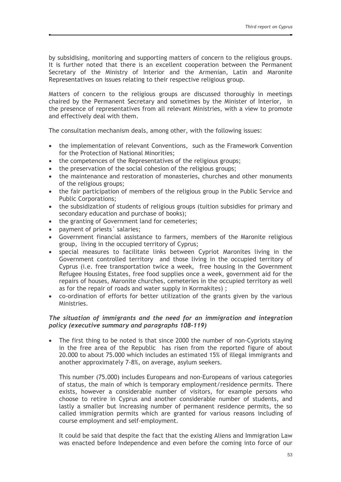by subsidising, monitoring and supporting matters of concern to the religious groups. It is further noted that there is an excellent cooperation between the Permanent Secretary of the Ministry of Interior and the Armenian, Latin and Maronite Representatives on issues relating to their respective religious group.

Matters of concern to the religious groups are discussed thoroughly in meetings chaired by the Permanent Secretary and sometimes by the Minister of Interior, in the presence of representatives from all relevant Ministries, with a view to promote and effectively deal with them.

The consultation mechanism deals, among other, with the following issues:

- the implementation of relevant Conventions, such as the Framework Convention for the Protection of National Minorities;
- the competences of the Representatives of the religious groups;
- the preservation of the social cohesion of the religious groups;  $\bullet$
- the maintenance and restoration of monasteries, churches and other monuments of the religious groups;
- the fair participation of members of the religious group in the Public Service and **Public Corporations:**
- the subsidization of students of religious groups (tuition subsidies for primary and secondary education and purchase of books);
- the granting of Government land for cemeteries;
- payment of priests' salaries:
- Government financial assistance to farmers, members of the Maronite religious group, living in the occupied territory of Cyprus;
- special measures to facilitate links between Cypriot Maronites living in the Government controlled territory and those living in the occupied territory of Cyprus (i.e. free transportation twice a week, free housing in the Government Refugee Housing Estates, free food supplies once a week, government aid for the repairs of houses, Maronite churches, cemeteries in the occupied territory as well as for the repair of roads and water supply in Kormakites);
- co-ordination of efforts for better utilization of the grants given by the various  $\bullet$ Ministries.

## The situation of immigrants and the need for an immigration and integration policy (executive summary and paragraphs 108-119)

The first thing to be noted is that since 2000 the number of non-Cypriots staving in the free area of the Republic has risen from the reported figure of about 20,000 to about 75,000 which includes an estimated 15% of illegal immigrants and another approximately 7-8%, on average, asylum seekers.

This number (75.000) includes Europeans and non-Europeans of various categories of status, the main of which is temporary employment/residence permits. There exists, however a considerable number of visitors, for example persons who choose to retire in Cyprus and another considerable number of students, and lastly a smaller but increasing number of permanent residence permits, the so called immigration permits which are granted for various reasons including of course employment and self-employment.

It could be said that despite the fact that the existing Aliens and Immigration Law was enacted before Independence and even before the coming into force of our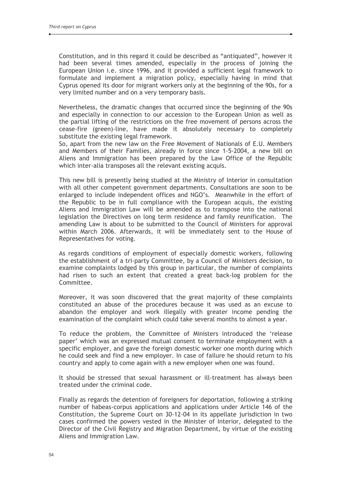Constitution, and in this regard it could be described as "antiquated", however it had been several times amended, especially in the process of joining the European Union i.e. since 1996, and it provided a sufficient legal framework to formulate and implement a migration policy, especially having in mind that Cyprus opened its door for migrant workers only at the beginning of the 90s, for a very limited number and on a very temporary basis.

Nevertheless, the dramatic changes that occurred since the beginning of the 90s and especially in connection to our accession to the European Union as well as the partial lifting of the restrictions on the free movement of persons across the cease-fire (green)-line, have made it absolutely necessary to completely substitute the existing legal framework.

So. apart from the new law on the Free Movement of Nationals of E.U. Members and Members of their Families, already in force since 1-5-2004, a new bill on Aliens and Immigration has been prepared by the Law Office of the Republic which inter-alia transposes all the relevant existing acquis.

This new bill is presently being studied at the Ministry of Interior in consultation with all other competent government departments. Consultations are soon to be enlarged to include independent offices and NGO's. Meanwhile in the effort of the Republic to be in full compliance with the European acquis, the existing Aliens and Immigration Law will be amended as to transpose into the national legislation the Directives on long term residence and family reunification. The amending Law is about to be submitted to the Council of Ministers for approval within March 2006. Afterwards, it will be immediately sent to the House of Representatives for voting.

As regards conditions of employment of especially domestic workers, following the establishment of a tri-party Committee, by a Council of Ministers decision, to examine complaints lodged by this group in particular, the number of complaints had risen to such an extent that created a great back-log problem for the Committee.

Moreover, it was soon discovered that the great majority of these complaints constituted an abuse of the procedures because it was used as an excuse to abandon the employer and work illegally with greater income pending the examination of the complaint which could take several months to almost a year.

To reduce the problem, the Committee of Ministers introduced the 'release paper' which was an expressed mutual consent to terminate employment with a specific employer, and gave the foreign domestic worker one month during which he could seek and find a new employer. In case of failure he should return to his country and apply to come again with a new employer when one was found.

It should be stressed that sexual harassment or ill-treatment has always been treated under the criminal code.

Finally as regards the detention of foreigners for deportation, following a striking number of habeas-corpus applications and applications under Article 146 of the Constitution, the Supreme Court on 30-12-04 in its appellate jurisdiction in two cases confirmed the powers vested in the Minister of Interior, delegated to the Director of the Civil Registry and Migration Department, by virtue of the existing Aliens and Immigration Law.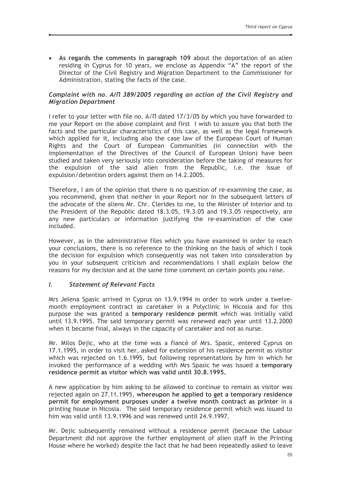• As regards the comments in paragraph 109 about the deportation of an alien residing in Cyprus for 10 years, we enclose as Appendix "A" the report of the Director of the Civil Registry and Migration Department to the Commissioner for Administration, stating the facts of the case.

## Complaint with no.  $A/\Pi$  389/2005 regarding an action of the Civil Registry and **Migration Department**

I refer to your letter with file no. A/II dated 17/3/05 by which you have forwarded to me your Report on the above complaint and first I wish to assure you that both the facts and the particular characteristics of this case, as well as the legal framework which applied for it, including also the case law of the European Court of Human Rights and the Court of European Communities (in connection with the implementation of the Directives of the Council of European Union) have been studied and taken very seriously into consideration before the taking of measures for the expulsion of the said alien from the Republic, i.e. the issue of expulsion/detention orders against them on 14.2.2005.

Therefore, I am of the opinion that there is no question of re-examining the case, as you recommend, given that neither in your Report nor in the subsequent letters of the advocate of the aliens Mr. Chr. Clerides to me, to the Minister of Interior and to the President of the Republic dated 18.3.05, 19.3.05 and 19.3.05 respectively, are any new particulars or information justifying the re-examination of the case included.

However, as in the administrative files which you have examined in order to reach your conclusions, there is no reference to the thinking on the basis of which I took the decision for expulsion which consequently was not taken into consideration by you in your subsequent criticism and recommendations I shall explain below the reasons for my decision and at the same time comment on certain points you raise.

#### $\mathbf{I}$ . **Statement of Relevant Facts**

Mrs Jelena Spasic arrived in Cyprus on 13.9.1994 in order to work under a twelvemonth employment contract as caretaker in a Polyclinic in Nicosia and for this purpose she was granted a temporary residence permit which was initially valid until 13.9.1995. The said temporary permit was renewed each year until 13.2.2000 when it became final, always in the capacity of caretaker and not as nurse.

Mr. Milos Dejic, who at the time was a fiancé of Mrs. Spasic, entered Cyprus on 17.1.1995, in order to visit her, asked for extension of his residence permit as visitor which was rejected on 1.6.1995, but following representations by him in which he invoked the performance of a wedding with Mrs Spasic he was issued a temporary residence permit as visitor which was valid until 30.8.1995.

A new application by him asking to be allowed to continue to remain as visitor was rejected again on 27.11.1995, whereupon he applied to get a temporary residence permit for employment purposes under a twelve month contract as printer in a printing house in Nicosia. The said temporary residence permit which was issued to him was valid until 13.9.1996 and was renewed until 24.9.1997.

Mr. Dejic subsequently remained without a residence permit (because the Labour Department did not approve the further employment of alien staff in the Printing House where he worked) despite the fact that he had been repeatedly asked to leave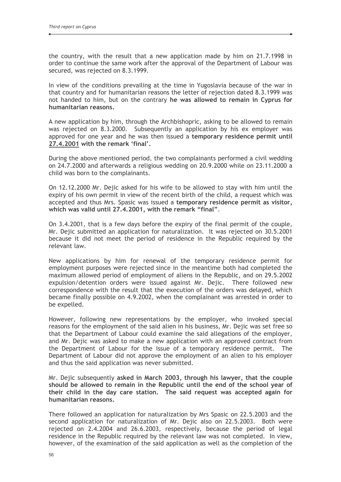the country, with the result that a new application made by him on 21.7.1998 in order to continue the same work after the approval of the Department of Labour was secured, was rejected on 8.3.1999.

In view of the conditions prevailing at the time in Yugoslavia because of the war in that country and for humanitarian reasons the letter of rejection dated 8.3.1999 was not handed to him, but on the contrary he was allowed to remain in Cyprus for humanitarian reasons.

A new application by him, through the Archbishopric, asking to be allowed to remain was rejected on 8.3.2000. Subsequently an application by his ex employer was approved for one year and he was then issued a temporary residence permit until 27.4.2001 with the remark 'final'.

During the above mentioned period, the two complainants performed a civil wedding on 24.7.2000 and afterwards a religious wedding on 20.9.2000 while on 23.11.2000 a child was born to the complainants.

On 12.12.2000 Mr. Dejic asked for his wife to be allowed to stay with him until the expiry of his own permit in view of the recent birth of the child, a request which was accepted and thus Mrs. Spasic was issued a temporary residence permit as visitor, which was valid until 27.4.2001, with the remark "final".

On 3.4.2001, that is a few days before the expiry of the final permit of the couple, Mr. Dejic submitted an application for naturalization. It was rejected on 30.5.2001 because it did not meet the period of residence in the Republic required by the relevant law.

New applications by him for renewal of the temporary residence permit for employment purposes were rejected since in the meantime both had completed the maximum allowed period of employment of aliens in the Republic, and on 29.5.2002 expulsion/detention orders were issued against Mr. Dejic. There followed new correspondence with the result that the execution of the orders was delayed, which became finally possible on 4.9.2002, when the complainant was arrested in order to be expelled.

However, following new representations by the employer, who invoked special reasons for the employment of the said alien in his business, Mr. Dejic was set free so that the Department of Labour could examine the said allegations of the employer, and Mr. Dejic was asked to make a new application with an approved contract from the Department of Labour for the issue of a temporary residence permit. The Department of Labour did not approve the employment of an alien to his employer and thus the said application was never submitted.

Mr. Dejic subsequently asked in March 2003, through his lawyer, that the couple should be allowed to remain in the Republic until the end of the school year of their child in the day care station. The said request was accepted again for humanitarian reasons.

There followed an application for naturalization by Mrs Spasic on 22.5.2003 and the second application for naturalization of Mr. Dejic also on 22.5.2003. Both were rejected on 2.4.2004 and 26.6.2003, respectively, because the period of legal residence in the Republic required by the relevant law was not completed. In view, however, of the examination of the said application as well as the completion of the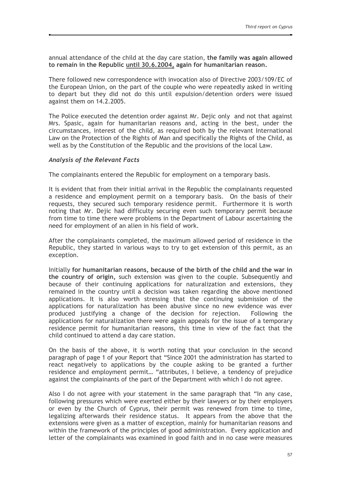annual attendance of the child at the day care station, the family was again allowed to remain in the Republic until 30.6.2004, again for humanitarian reason.

There followed new correspondence with invocation also of Directive 2003/109/EC of the European Union, on the part of the couple who were repeatedly asked in writing to depart but they did not do this until expulsion/detention orders were issued against them on 14.2.2005.

The Police executed the detention order against Mr. Dejic only and not that against Mrs. Spasic, again for humanitarian reasons and, acting in the best, under the circumstances, interest of the child, as required both by the relevant International Law on the Protection of the Rights of Man and specifically the Rights of the Child, as well as by the Constitution of the Republic and the provisions of the local Law.

## **Analysis of the Relevant Facts**

The complainants entered the Republic for employment on a temporary basis.

It is evident that from their initial arrival in the Republic the complainants requested a residence and employment permit on a temporary basis. On the basis of their requests, they secured such temporary residence permit. Furthermore it is worth noting that Mr. Dejic had difficulty securing even such temporary permit because from time to time there were problems in the Department of Labour ascertaining the need for employment of an alien in his field of work.

After the complainants completed, the maximum allowed period of residence in the Republic, they started in various ways to try to get extension of this permit, as an exception.

Initially for humanitarian reasons, because of the birth of the child and the war in the country of origin, such extension was given to the couple. Subsequently and because of their continuing applications for naturalization and extensions, they remained in the country until a decision was taken regarding the above mentioned applications. It is also worth stressing that the continuing submission of the applications for naturalization has been abusive since no new evidence was ever produced justifying a change of the decision for rejection. Following the applications for naturalization there were again appeals for the issue of a temporary residence permit for humanitarian reasons, this time in view of the fact that the child continued to attend a day care station.

On the basis of the above, it is worth noting that your conclusion in the second paragraph of page 1 of your Report that "Since 2001 the administration has started to react negatively to applications by the couple asking to be granted a further residence and employment permit... "attributes, I believe, a tendency of prejudice against the complainants of the part of the Department with which I do not agree.

Also I do not agree with your statement in the same paragraph that "In any case, following pressures which were exerted either by their lawyers or by their employers or even by the Church of Cyprus, their permit was renewed from time to time, legalizing afterwards their residence status. It appears from the above that the extensions were given as a matter of exception, mainly for humanitarian reasons and within the framework of the principles of good administration. Every application and letter of the complainants was examined in good faith and in no case were measures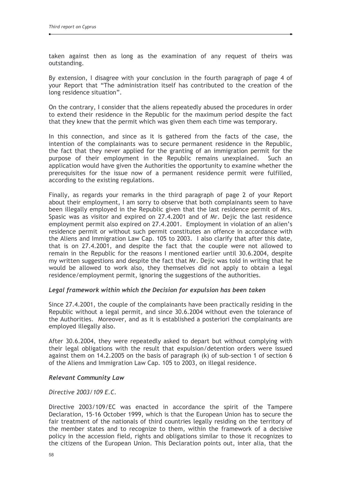taken against then as long as the examination of any request of theirs was outstanding.

By extension, I disagree with your conclusion in the fourth paragraph of page 4 of your Report that "The administration itself has contributed to the creation of the long residence situation".

On the contrary, I consider that the aliens repeatedly abused the procedures in order to extend their residence in the Republic for the maximum period despite the fact that they knew that the permit which was given them each time was temporary.

In this connection, and since as it is gathered from the facts of the case, the intention of the complainants was to secure permanent residence in the Republic, the fact that they never applied for the granting of an immigration permit for the purpose of their employment in the Republic remains unexplained. Such an application would have given the Authorities the opportunity to examine whether the prerequisites for the issue now of a permanent residence permit were fulfilled, according to the existing regulations.

Finally, as regards your remarks in the third paragraph of page 2 of your Report about their employment. I am sorry to observe that both complainants seem to have been illegally employed in the Republic given that the last residence permit of Mrs. Spasic was as visitor and expired on 27.4.2001 and of Mr. Dejic the last residence employment permit also expired on 27.4.2001. Employment in violation of an alien's residence permit or without such permit constitutes an offence in accordance with the Aliens and Immigration Law Cap. 105 to 2003. I also clarify that after this date, that is on 27.4.2001, and despite the fact that the couple were not allowed to remain in the Republic for the reasons I mentioned earlier until 30.6.2004, despite my written suggestions and despite the fact that Mr. Dejic was told in writing that he would be allowed to work also, they themselves did not apply to obtain a legal residence/employment permit, ignoring the suggestions of the authorities.

#### Legal framework within which the Decision for expulsion has been taken

Since 27.4.2001, the couple of the complainants have been practically residing in the Republic without a legal permit, and since 30.6.2004 without even the tolerance of the Authorities. Moreover, and as it is established a posteriori the complainants are employed illegally also.

After 30.6.2004, they were repeatedly asked to depart but without complying with their legal obligations with the result that expulsion/detention orders were issued against them on 14.2.2005 on the basis of paragraph (k) of sub-section 1 of section 6 of the Aliens and Immigration Law Cap. 105 to 2003, on illegal residence.

#### **Relevant Community Law**

#### Directive 2003/109 F.C.

Directive 2003/109/EC was enacted in accordance the spirit of the Tampere Declaration, 15-16 October 1999, which is that the European Union has to secure the fair treatment of the nationals of third countries legally residing on the territory of the member states and to recognize to them, within the framework of a decisive policy in the accession field, rights and obligations similar to those it recognizes to the citizens of the European Union. This Declaration points out, inter alia, that the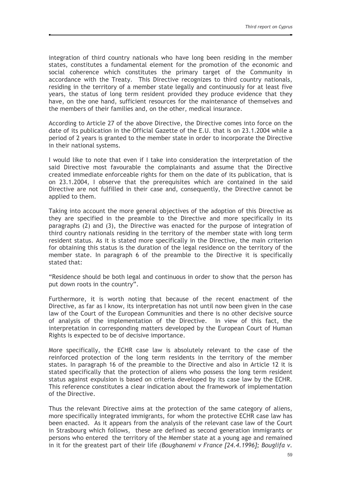integration of third country nationals who have long been residing in the member states, constitutes a fundamental element for the promotion of the economic and social coherence which constitutes the primary target of the Community in accordance with the Treaty. This Directive recognizes to third country nationals, residing in the territory of a member state legally and continuously for at least five years, the status of long term resident provided they produce evidence that they have, on the one hand, sufficient resources for the maintenance of themselves and the members of their families and, on the other, medical insurance.

According to Article 27 of the above Directive, the Directive comes into force on the date of its publication in the Official Gazette of the E.U. that is on 23.1.2004 while a period of 2 years is granted to the member state in order to incorporate the Directive in their national systems.

I would like to note that even if I take into consideration the interpretation of the said Directive most favourable the complainants and assume that the Directive created immediate enforceable rights for them on the date of its publication, that is on 23.1.2004, I observe that the prerequisites which are contained in the said Directive are not fulfilled in their case and, consequently, the Directive cannot be applied to them.

Taking into account the more general objectives of the adoption of this Directive as they are specified in the preamble to the Directive and more specifically in its paragraphs (2) and (3), the Directive was enacted for the purpose of integration of third country nationals residing in the territory of the member state with long term resident status. As it is stated more specifically in the Directive, the main criterion for obtaining this status is the duration of the legal residence on the territory of the member state. In paragraph 6 of the preamble to the Directive it is specifically stated that:

"Residence should be both legal and continuous in order to show that the person has put down roots in the country".

Furthermore, it is worth noting that because of the recent enactment of the Directive, as far as I know, its interpretation has not until now been given in the case law of the Court of the European Communities and there is no other decisive source of analysis of the implementation of the Directive. In view of this fact, the interpretation in corresponding matters developed by the European Court of Human Rights is expected to be of decisive importance.

More specifically, the ECHR case law is absolutely relevant to the case of the reinforced protection of the long term residents in the territory of the member states. In paragraph 16 of the preamble to the Directive and also in Article 12 it is stated specifically that the protection of aliens who possess the long term resident status against expulsion is based on criteria developed by its case law by the ECHR. This reference constitutes a clear indication about the framework of implementation of the Directive.

Thus the relevant Directive aims at the protection of the same category of aliens, more specifically integrated immigrants, for whom the protective ECHR case law has been enacted. As it appears from the analysis of the relevant case law of the Court in Strasbourg which follows, these are defined as second generation immigrants or persons who entered the territory of the Member state at a young age and remained in it for the greatest part of their life (Boughanemi v France [24.4.1996]; Bouglifa v.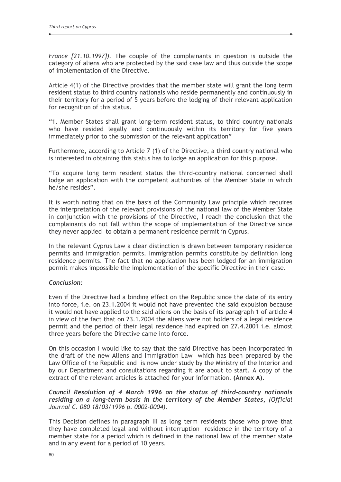*France [21.10.1997]*). The couple of the complainants in question is outside the category of aliens who are protected by the said case law and thus outside the scope of implementation of the Directive.

Article 4(1) of the Directive provides that the member state will grant the long term resident status to third country nationals who reside permanently and continuously in their territory for a period of 5 years before the lodging of their relevant application for recognition of this status.

"1. Member States shall grant long-term resident status, to third country nationals who have resided legally and continuously within its territory for five years immediately prior to the submission of the relevant application"

Furthermore, according to Article 7 (1) of the Directive, a third country national who is interested in obtaining this status has to lodge an application for this purpose.

"To acquire long term resident status the third-country national concerned shall lodge an application with the competent authorities of the Member State in which he/she resides".

It is worth noting that on the basis of the Community Law principle which requires the interpretation of the relevant provisions of the national law of the Member State in conjunction with the provisions of the Directive. I reach the conclusion that the complainants do not fall within the scope of implementation of the Directive since they never applied to obtain a permanent residence permit in Cyprus.

In the relevant Cyprus Law a clear distinction is drawn between temporary residence permits and immigration permits. Immigration permits constitute by definition long residence permits. The fact that no application has been lodged for an immigration permit makes impossible the implementation of the specific Directive in their case.

#### Conclusion:

Even if the Directive had a binding effect on the Republic since the date of its entry into force, i.e. on 23.1.2004 it would not have prevented the said expulsion because it would not have applied to the said aliens on the basis of its paragraph 1 of article 4 in view of the fact that on 23.1.2004 the aliens were not holders of a legal residence permit and the period of their legal residence had expired on 27.4.2001 i.e. almost three years before the Directive came into force.

On this occasion I would like to say that the said Directive has been incorporated in the draft of the new Aliens and Immigration Law which has been prepared by the Law Office of the Republic and is now under study by the Ministry of the Interior and by our Department and consultations regarding it are about to start. A copy of the extract of the relevant articles is attached for your information. (Annex A).

## Council Resolution of 4 March 1996 on the status of third-country nationals residing on a long-term basis in the territory of the Member States, (Official Journal C. 080 18/03/1996 p. 0002-0004).

This Decision defines in paragraph III as long term residents those who prove that they have completed legal and without interruption residence in the territory of a member state for a period which is defined in the national law of the member state and in any event for a period of 10 years.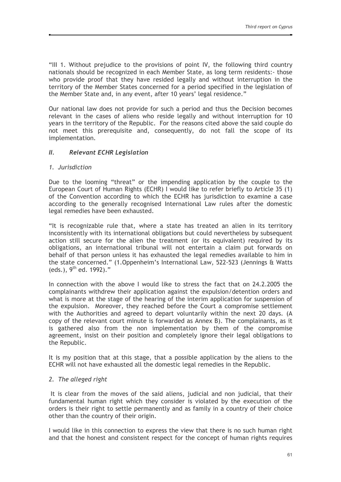"III 1. Without prejudice to the provisions of point IV, the following third country nationals should be recognized in each Member State, as long term residents:- those who provide proof that they have resided legally and without interruption in the territory of the Member States concerned for a period specified in the legislation of the Member State and, in any event, after 10 years' legal residence."

Our national law does not provide for such a period and thus the Decision becomes relevant in the cases of aliens who reside legally and without interruption for 10 years in the territory of the Republic. For the reasons cited above the said couple do not meet this prerequisite and, consequently, do not fall the scope of its implementation.

#### $II.$ **Relevant ECHR Legislation**

## 1. Jurisdiction

Due to the looming "threat" or the impending application by the couple to the European Court of Human Rights (ECHR) I would like to refer briefly to Article 35 (1) of the Convention according to which the ECHR has jurisdiction to examine a case according to the generally recognised International Law rules after the domestic legal remedies have been exhausted.

"It is recognizable rule that, where a state has treated an alien in its territory inconsistently with its international obligations but could nevertheless by subsequent action still secure for the alien the treatment (or its equivalent) required by its obligations, an international tribunal will not entertain a claim put forwards on behalf of that person unless it has exhausted the legal remedies available to him in the state concerned." (1. Oppenheim's International Law, 522-523 (Jennings & Watts (eds.),  $9^{th}$  ed. 1992)."

In connection with the above I would like to stress the fact that on 24.2.2005 the complainants withdrew their application against the expulsion/detention orders and what is more at the stage of the hearing of the interim application for suspension of the expulsion. Moreover, they reached before the Court a compromise settlement with the Authorities and agreed to depart voluntarily within the next 20 days. (A copy of the relevant court minute is forwarded as Annex B). The complainants, as it is gathered also from the non implementation by them of the compromise agreement, insist on their position and completely ignore their legal obligations to the Republic.

It is my position that at this stage, that a possible application by the aliens to the ECHR will not have exhausted all the domestic legal remedies in the Republic.

## 2. The alleged right

It is clear from the moves of the said aliens, judicial and non judicial, that their fundamental human right which they consider is violated by the execution of the orders is their right to settle permanently and as family in a country of their choice other than the country of their origin.

I would like in this connection to express the view that there is no such human right and that the honest and consistent respect for the concept of human rights requires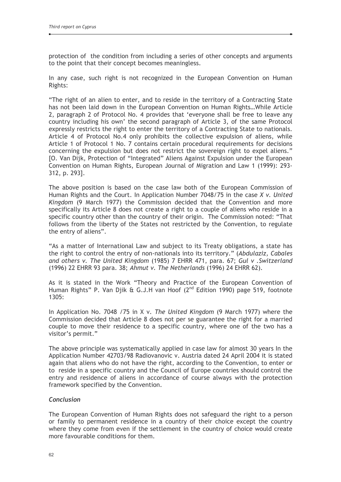protection of the condition from including a series of other concepts and arguments to the point that their concept becomes meaningless.

In any case, such right is not recognized in the European Convention on Human Rights:

"The right of an alien to enter, and to reside in the territory of a Contracting State has not been laid down in the European Convention on Human Rights...While Article 2, paragraph 2 of Protocol No. 4 provides that 'everyone shall be free to leave any country including his own' the second paragraph of Article 3, of the same Protocol expressly restricts the right to enter the territory of a Contracting State to nationals. Article 4 of Protocol No.4 only prohibits the collective expulsion of aliens, while Article 1 of Protocol 1 No. 7 contains certain procedural requirements for decisions concerning the expulsion but does not restrict the sovereign right to expel aliens." [O. Van Dijk, Protection of "Integrated" Aliens Against Expulsion under the European Convention on Human Rights, European Journal of Migration and Law 1 (1999): 293-312, p. 293].

The above position is based on the case law both of the European Commission of Human Rights and the Court. In Application Number 7048/75 in the case X v. United Kingdom (9 March 1977) the Commission decided that the Convention and more specifically its Article 8 does not create a right to a couple of aliens who reside in a specific country other than the country of their origin. The Commission noted: "That follows from the liberty of the States not restricted by the Convention, to regulate the entry of aliens".

"As a matter of International Law and subject to its Treaty obligations, a state has the right to control the entry of non-nationals into its territory." (Abdulaziz, Cabales and others v. The United Kingdom (1985) 7 EHRR 471, para. 67; Gul v . Switzerland (1996) 22 EHRR 93 para. 38; Ahmut v. The Netherlands (1996) 24 EHRR 62).

As it is stated in the Work "Theory and Practice of the European Convention of Human Rights" P. Van Djik & G.J.H van Hoof (2<sup>nd</sup> Edition 1990) page 519, footnote 1305:

In Application No. 7048 /75 in X v. The United Kingdom (9 March 1977) where the Commission decided that Article 8 does not per se guarantee the right for a married couple to move their residence to a specific country, where one of the two has a visitor's permit."

The above principle was systematically applied in case law for almost 30 years In the Application Number 42703/98 Radiovanovic v. Austria dated 24 April 2004 it is stated again that aliens who do not have the right, according to the Convention, to enter or to reside in a specific country and the Council of Europe countries should control the entry and residence of aliens in accordance of course always with the protection framework specified by the Convention.

#### Conclusion

The European Convention of Human Rights does not safeguard the right to a person or family to permanent residence in a country of their choice except the country where they come from even if the settlement in the country of choice would create more favourable conditions for them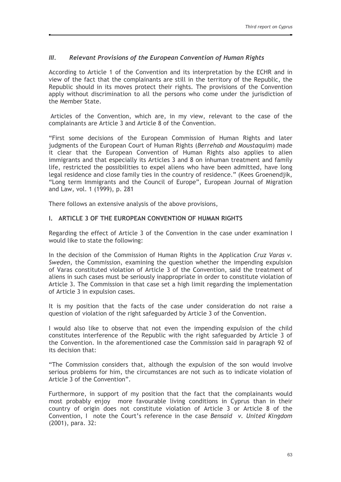#### $III.$ Relevant Provisions of the European Convention of Human Rights

According to Article 1 of the Convention and its interpretation by the ECHR and in view of the fact that the complainants are still in the territory of the Republic. the Republic should in its moves protect their rights. The provisions of the Convention apply without discrimination to all the persons who come under the jurisdiction of the Member State.

Articles of the Convention, which are, in my view, relevant to the case of the complainants are Article 3 and Article 8 of the Convention.

"First some decisions of the European Commission of Human Rights and later judgments of the European Court of Human Rights (Berrehab and Moustaquim) made it clear that the European Convention of Human Rights also applies to alien immigrants and that especially its Articles 3 and 8 on inhuman treatment and family life, restricted the possibilities to expel aliens who have been admitted, have long legal residence and close family ties in the country of residence." (Kees Groenendjik, "Long term Immigrants and the Council of Europe", European Journal of Migration and Law, vol. 1 (1999), p. 281

There follows an extensive analysis of the above provisions,

#### **I. ARTICLE 3 OF THE EUROPEAN CONVENTION OF HUMAN RIGHTS**

Regarding the effect of Article 3 of the Convention in the case under examination I would like to state the following:

In the decision of the Commission of Human Rights in the Application Cruz Varas v. Sweden, the Commission, examining the question whether the impending expulsion of Varas constituted violation of Article 3 of the Convention, said the treatment of aliens in such cases must be seriously inappropriate in order to constitute violation of Article 3. The Commission in that case set a high limit regarding the implementation of Article 3 in expulsion cases.

It is my position that the facts of the case under consideration do not raise a question of violation of the right safeguarded by Article 3 of the Convention.

I would also like to observe that not even the impending expulsion of the child constitutes interference of the Republic with the right safeguarded by Article 3 of the Convention. In the aforementioned case the Commission said in paragraph 92 of its decision that:

"The Commission considers that, although the expulsion of the son would involve serious problems for him, the circumstances are not such as to indicate violation of Article 3 of the Convention".

Furthermore, in support of my position that the fact that the complainants would most probably enjoy more favourable living conditions in Cyprus than in their country of origin does not constitute violation of Article 3 or Article 8 of the Convention, I note the Court's reference in the case Bensaid v. United Kingdom (2001), para. 32: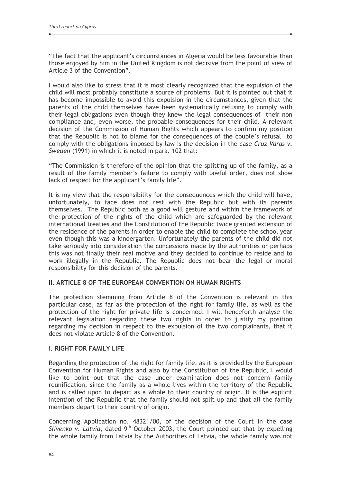"The fact that the applicant's circumstances in Algeria would be less favourable than those enjoyed by him in the United Kingdom is not decisive from the point of view of Article 3 of the Convention".

I would also like to stress that it is most clearly recognized that the expulsion of the child will most probably constitute a source of problems. But it is pointed out that it has become impossible to avoid this expulsion in the circumstances, given that the parents of the child themselves have been systematically refusing to comply with their legal obligations even though they knew the legal consequences of their non compliance and, even worse, the probable consequences for their child. A relevant decision of the Commission of Human Rights which appears to confirm my position that the Republic is not to blame for the consequences of the couple's refusal to comply with the obligations imposed by law is the decision in the case Cruz Varas v. Sweden (1991) in which it is noted in para. 102 that:

"The Commission is therefore of the opinion that the splitting up of the family, as a result of the family member's failure to comply with lawful order, does not show lack of respect for the applicant's family life".

It is my view that the responsibility for the consequences which the child will have. unfortunately, to face does not rest with the Republic but with its parents themselves. The Republic both as a good will gesture and within the framework of the protection of the rights of the child which are safeguarded by the relevant international treaties and the Constitution of the Republic twice granted extension of the residence of the parents in order to enable the child to complete the school year even though this was a kindergarten. Unfortunately the parents of the child did not take seriously into consideration the concessions made by the authorities or perhaps this was not finally their real motive and they decided to continue to reside and to work illegally in the Republic. The Republic does not bear the legal or moral responsibility for this decision of the parents.

## **II. ARTICLE 8 OF THE EUROPEAN CONVENTION ON HUMAN RIGHTS**

The protection stemming from Article 8 of the Convention is relevant in this particular case, as far as the protection of the right for family life, as well as the protection of the right for private life is concerned. I will henceforth analyse the relevant legislation regarding these two rights in order to justify my position regarding my decision in respect to the expulsion of the two complainants, that it does not violate Article 8 of the Convention.

#### **i. RIGHT FOR FAMILY LIFE**

Regarding the protection of the right for family life, as it is provided by the European Convention for Human Rights and also by the Constitution of the Republic, I would like to point out that the case under examination does not concern family reunification, since the family as a whole lives within the territory of the Republic and is called upon to depart as a whole to their country of origin. It is the explicit intention of the Republic that the family should not split up and that all the family members depart to their country of origin.

Concerning Application no. 48321/00, of the decision of the Court in the case Slivenko y. Latvia, dated 9<sup>th</sup> October 2003, the Court pointed out that by expelling the whole family from Latvia by the Authorities of Latvia, the whole family was not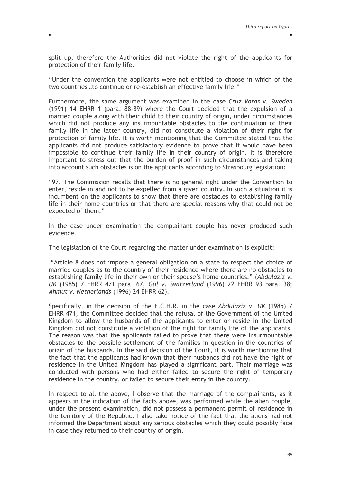split up, therefore the Authorities did not violate the right of the applicants for protection of their family life.

"Under the convention the applicants were not entitled to choose in which of the two countries...to continue or re-establish an effective family life."

Furthermore, the same argument was examined in the case Cruz Varas v. Sweden (1991) 14 EHRR 1 (para. 88-89) where the Court decided that the expulsion of a married couple along with their child to their country of origin, under circumstances which did not produce any insurmountable obstacles to the continuation of their family life in the latter country, did not constitute a violation of their right for protection of family life. It is worth mentioning that the Committee stated that the applicants did not produce satisfactory evidence to prove that it would have been impossible to continue their family life in their country of origin. It is therefore important to stress out that the burden of proof in such circumstances and taking into account such obstacles is on the applicants according to Strasbourg legislation:

"97. The Commission recalls that there is no general right under the Convention to enter, reside in and not to be expelled from a given country...ln such a situation it is incumbent on the applicants to show that there are obstacles to establishing family life in their home countries or that there are special reasons why that could not be expected of them."

In the case under examination the complainant couple has never produced such evidence.

The legislation of the Court regarding the matter under examination is explicit:

"Article 8 does not impose a general obligation on a state to respect the choice of married couples as to the country of their residence where there are no obstacles to establishing family life in their own or their spouse's home countries." (Abdulaziz v. UK (1985) 7 EHRR 471 para, 67, Gul v. Switzerland (1996) 22 EHRR 93 para, 38; Ahmut v. Netherlands (1996) 24 EHRR 62).

Specifically, in the decision of the E.C.H.R. in the case Abdulaziz v. UK (1985) 7 EHRR 471, the Committee decided that the refusal of the Government of the United Kingdom to allow the husbands of the applicants to enter or reside in the United Kingdom did not constitute a violation of the right for family life of the applicants. The reason was that the applicants failed to prove that there were insurmountable obstacles to the possible settlement of the families in question in the countries of origin of the husbands. In the said decision of the Court, it is worth mentioning that the fact that the applicants had known that their husbands did not have the right of residence in the United Kingdom has played a significant part. Their marriage was conducted with persons who had either failed to secure the right of temporary residence in the country, or failed to secure their entry in the country.

In respect to all the above, I observe that the marriage of the complainants, as it appears in the indication of the facts above, was performed while the alien couple, under the present examination, did not possess a permanent permit of residence in the territory of the Republic. I also take notice of the fact that the aliens had not informed the Department about any serious obstacles which they could possibly face in case they returned to their country of origin.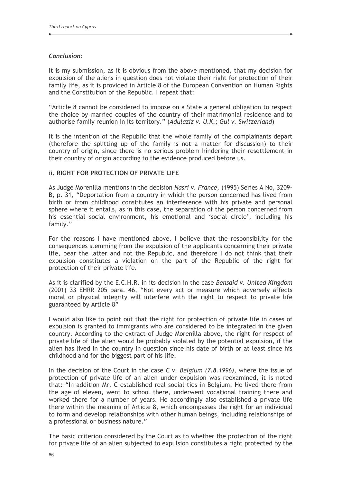## Conclusion:

It is my submission, as it is obvious from the above mentioned, that my decision for expulsion of the aliens in question does not violate their right for protection of their family life, as it is provided in Article 8 of the European Convention on Human Rights and the Constitution of the Republic. I repeat that:

"Article 8 cannot be considered to impose on a State a general obligation to respect the choice by married couples of the country of their matrimonial residence and to authorise family reunion in its territory." (Adulaziz v. U.K.; Gul v. Switzerland)

It is the intention of the Republic that the whole family of the complainants depart (therefore the splitting up of the family is not a matter for discussion) to their country of origin, since there is no serious problem hindering their resettlement in their country of origin according to the evidence produced before us.

## **ii. RIGHT FOR PROTECTION OF PRIVATE LIFE**

As Judge Morenilla mentions in the decision Nasri v. France, (1995) Series A No, 3209-B, p. 31, "Deportation from a country in which the person concerned has lived from birth or from childhood constitutes an interference with his private and personal sphere where it entails, as in this case, the separation of the person concerned from his essential social environment, his emotional and 'social circle', including his family."

For the reasons I have mentioned above, I believe that the responsibility for the consequences stemming from the expulsion of the applicants concerning their private life, bear the latter and not the Republic, and therefore I do not think that their expulsion constitutes a violation on the part of the Republic of the right for protection of their private life.

As it is clarified by the E.C.H.R. in its decision in the case Bensaid v. United Kingdom (2001) 33 EHRR 205 para. 46, "Not every act or measure which adversely affects moral or physical integrity will interfere with the right to respect to private life guaranteed by Article 8"

I would also like to point out that the right for protection of private life in cases of expulsion is granted to immigrants who are considered to be integrated in the given country. According to the extract of Judge Morenilla above, the right for respect of private life of the alien would be probably violated by the potential expulsion, if the alien has lived in the country in question since his date of birth or at least since his childhood and for the biggest part of his life.

In the decision of the Court in the case  $C$  v. Belgium  $(7.8.1996)$ , where the issue of protection of private life of an alien under expulsion was reexamined, it is noted that: "In addition Mr. C established real social ties in Belgium. He lived there from the age of eleven, went to school there, underwent vocational training there and worked there for a number of years. He accordingly also established a private life there within the meaning of Article 8, which encompasses the right for an individual to form and develop relationships with other human beings, including relationships of a professional or business nature."

The basic criterion considered by the Court as to whether the protection of the right for private life of an alien subjected to expulsion constitutes a right protected by the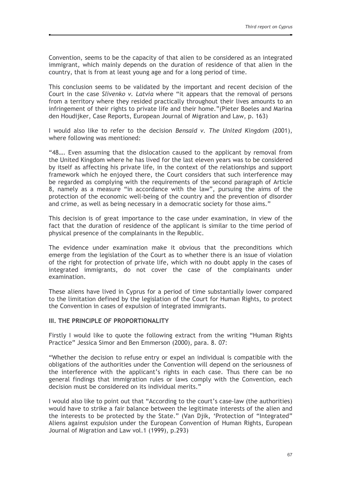Convention, seems to be the capacity of that alien to be considered as an integrated immigrant, which mainly depends on the duration of residence of that alien in the country, that is from at least young age and for a long period of time.

This conclusion seems to be validated by the important and recent decision of the Court in the case Slivenko v. Latvia where "it appears that the removal of persons from a territory where they resided practically throughout their lives amounts to an infringement of their rights to private life and their home."(Pieter Boeles and Marina den Houdijker, Case Reports, European Journal of Migration and Law, p. 163)

I would also like to refer to the decision Bensaid v. The United Kingdom (2001), where following was mentioned:

"48.... Even assuming that the dislocation caused to the applicant by removal from the United Kingdom where he has lived for the last eleven years was to be considered by itself as affecting his private life, in the context of the relationships and support framework which he enjoyed there, the Court considers that such interference may be regarded as complying with the requirements of the second paragraph of Article 8, namely as a measure "in accordance with the law", pursuing the aims of the protection of the economic well-being of the country and the prevention of disorder and crime, as well as being necessary in a democratic society for those aims."

This decision is of great importance to the case under examination, in view of the fact that the duration of residence of the applicant is similar to the time period of physical presence of the complainants in the Republic.

The evidence under examination make it obvious that the preconditions which emerge from the legislation of the Court as to whether there is an issue of violation of the right for protection of private life, which with no doubt apply in the cases of integrated immigrants, do not cover the case of the complainants under examination.

These aliens have lived in Cyprus for a period of time substantially lower compared to the limitation defined by the legislation of the Court for Human Rights, to protect the Convention in cases of expulsion of integrated immigrants.

#### III. THE PRINCIPLE OF PROPORTIONALITY

Firstly I would like to quote the following extract from the writing "Human Rights Practice" Jessica Simor and Ben Emmerson (2000), para. 8. 07:

"Whether the decision to refuse entry or expel an individual is compatible with the obligations of the authorities under the Convention will depend on the seriousness of the interference with the applicant's rights in each case. Thus there can be no general findings that immigration rules or laws comply with the Convention, each decision must be considered on its individual merits."

I would also like to point out that "According to the court's case-law (the authorities) would have to strike a fair balance between the legitimate interests of the alien and the interests to be protected by the State." (Van Dijk, 'Protection of "Integrated" Aliens against expulsion under the European Convention of Human Rights, European Journal of Migration and Law vol.1 (1999), p.293)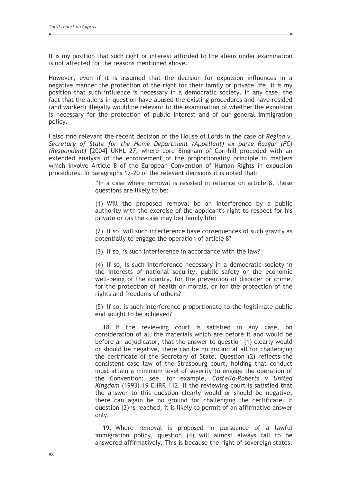It is my position that such right or interest afforded to the aliens under examination is not affected for the reasons mentioned above.

However, even if it is assumed that the decision for expulsion influences in a negative manner the protection of the right for their family or private life, it is my position that such influence is necessary in a democratic society. In any case, the fact that the aliens in question have abused the existing procedures and have resided (and worked) illegally would be relevant to the examination of whether the expulsion is necessary for the protection of public interest and of our general immigration policy.

I also find relevant the recent decision of the House of Lords in the case of Regina y. Secretary of State for the Home Department (Appellant) ex parte Razgar (FC) (Respondent) [2004] UKHL 27, where Lord Bingham of Cornhill proceded with an extended analysis of the enforcement of the proportionality principle in matters which involve Article 8 of the European Convention of Human Rights in expulsion procedures. In paragraphs 17-20 of the relevant decisions it is noted that:

> "In a case where removal is resisted in reliance on article 8, these questions are likely to be:

> (1) Will the proposed removal be an interference by a public authority with the exercise of the applicant's right to respect for his private or (as the case may be) family life?

> (2) If so, will such interference have consequences of such gravity as potentially to engage the operation of article 8?

(3) If so, is such interference in accordance with the law?

(4) If so, is such interference necessary in a democratic society in the interests of national security, public safety or the economic well-being of the country, for the prevention of disorder or crime, for the protection of health or morals, or for the protection of the rights and freedoms of others?

(5) If so, is such interference proportionate to the legitimate public end sought to be achieved?

18. If the reviewing court is satisfied in any case, on consideration of all the materials which are before it and would be before an adjudicator, that the answer to question (1) clearly would or should be negative, there can be no ground at all for challenging the certificate of the Secretary of State. Question (2) reflects the consistent case law of the Strasbourg court, holding that conduct must attain a minimum level of severity to engage the operation of the Convention: see, for example, Costello-Roberts v United Kingdom (1993) 19 EHRR 112. If the reviewing court is satisfied that the answer to this question clearly would or should be negative, there can again be no ground for challenging the certificate. If question (3) is reached, it is likely to permit of an affirmative answer only.

19. Where removal is proposed in pursuance of a lawful immigration policy, question (4) will almost always fall to be answered affirmatively. This is because the right of sovereign states,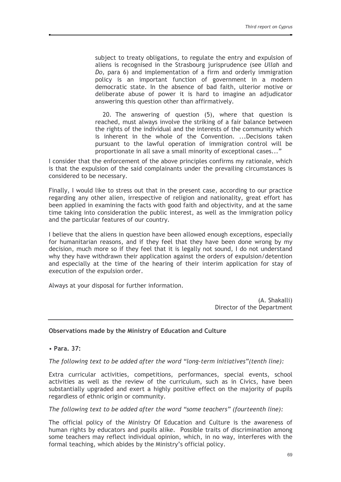subject to treaty obligations, to regulate the entry and expulsion of aliens is recognised in the Strasbourg jurisprudence (see Ullah and Do, para 6) and implementation of a firm and orderly immigration policy is an important function of government in a modern democratic state. In the absence of bad faith, ulterior motive or deliberate abuse of power it is hard to imagine an adjudicator answering this question other than affirmatively.

20. The answering of question (5), where that question is reached, must always involve the striking of a fair balance between the rights of the individual and the interests of the community which is inherent in the whole of the Convention, ...Decisions taken pursuant to the lawful operation of immigration control will be proportionate in all save a small minority of exceptional cases..."

I consider that the enforcement of the above principles confirms my rationale, which is that the expulsion of the said complainants under the prevailing circumstances is considered to be necessary.

Finally, I would like to stress out that in the present case, according to our practice regarding any other alien, irrespective of religion and nationality, great effort has been applied in examining the facts with good faith and objectivity, and at the same time taking into consideration the public interest, as well as the immigration policy and the particular features of our country.

I believe that the aliens in question have been allowed enough exceptions, especially for humanitarian reasons, and if they feel that they have been done wrong by my decision, much more so if they feel that it is legally not sound, I do not understand why they have withdrawn their application against the orders of expulsion/detention and especially at the time of the hearing of their interim application for stay of execution of the expulsion order.

Always at your disposal for further information.

(A. Shakalli) Director of the Department

## Observations made by the Ministry of Education and Culture

• Para, 37:

The following text to be added after the word "long-term initiatives" (tenth line):

Extra curricular activities, competitions, performances, special events, school activities as well as the review of the curriculum, such as in Civics, have been substantially upgraded and exert a highly positive effect on the majority of pupils regardless of ethnic origin or community.

## The following text to be added after the word "some teachers" (fourteenth line):

The official policy of the Ministry Of Education and Culture is the awareness of human rights by educators and pupils alike. Possible traits of discrimination among some teachers may reflect individual opinion, which, in no way, interferes with the formal teaching, which abides by the Ministry's official policy.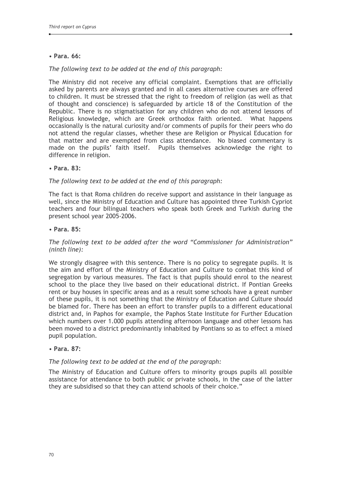## • Para. 66:

## The following text to be added at the end of this paragraph:

The Ministry did not receive any official complaint. Exemptions that are officially asked by parents are always granted and in all cases alternative courses are offered to children. It must be stressed that the right to freedom of religion (as well as that of thought and conscience) is safeguarded by article 18 of the Constitution of the Republic. There is no stigmatisation for any children who do not attend lessons of Religious knowledge, which are Greek orthodox faith oriented. What happens occasionally is the natural curiosity and/or comments of pupils for their peers who do not attend the regular classes, whether these are Religion or Physical Education for that matter and are exempted from class attendance. No biased commentary is made on the pupils' faith itself. Pupils themselves acknowledge the right to difference in religion.

#### • Para, 83:

## The following text to be added at the end of this paragraph:

The fact is that Roma children do receive support and assistance in their language as well, since the Ministry of Education and Culture has appointed three Turkish Cypriot teachers and four bilingual teachers who speak both Greek and Turkish during the present school year 2005-2006.

#### • Para, 85:

## The following text to be added after the word "Commissioner for Administration"  $(ninth line)$ :

We strongly disagree with this sentence. There is no policy to segregate pupils. It is the aim and effort of the Ministry of Education and Culture to combat this kind of segregation by various measures. The fact is that pupils should enrol to the nearest school to the place they live based on their educational district. If Pontian Greeks rent or buy houses in specific areas and as a result some schools have a great number of these pupils, it is not something that the Ministry of Education and Culture should be blamed for. There has been an effort to transfer pupils to a different educational district and, in Paphos for example, the Paphos State Institute for Further Education which numbers over 1,000 pupils attending afternoon language and other lessons has been moved to a district predominantly inhabited by Pontians so as to effect a mixed pupil population.

#### • Para, 87:

#### The following text to be added at the end of the paragraph:

The Ministry of Education and Culture offers to minority groups pupils all possible assistance for attendance to both public or private schools, in the case of the latter they are subsidised so that they can attend schools of their choice."